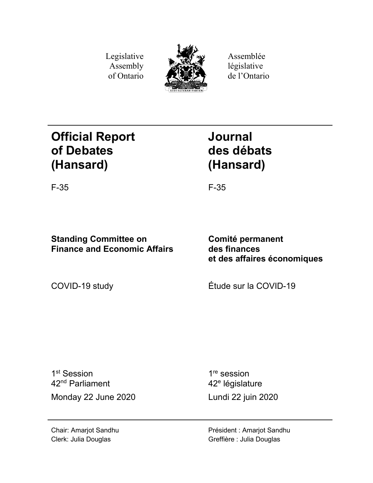Legislative Assembly of Ontario



Assemblée législative de l'Ontario

# **Official Report of Debates (Hansard)**

**Journal des débats (Hansard)**

F-35 F-35

# **Standing Committee on Finance and Economic Affairs**

**Comité permanent des finances et des affaires économiques**

COVID-19 study Étude sur la COVID-19

1<sup>st</sup> Session 42nd Parliament Monday 22 June 2020 Lundi 22 juin 2020

1<sup>re</sup> session 42<sup>e</sup> législature

Chair: Amarjot Sandhu Clerk: Julia Douglas

Président : Amarjot Sandhu Greffière : Julia Douglas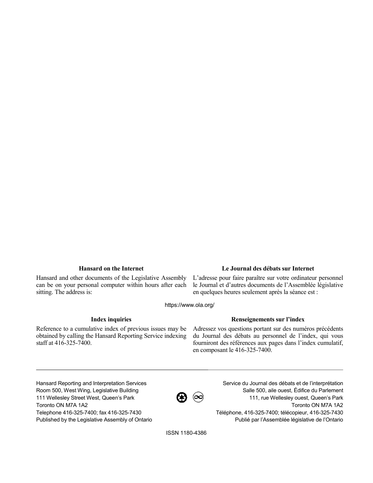Hansard and other documents of the Legislative Assembly can be on your personal computer within hours after each sitting. The address is:

## **Hansard on the Internet Le Journal des débats sur Internet**

L'adresse pour faire paraître sur votre ordinateur personnel le Journal et d'autres documents de l'Assemblée législative en quelques heures seulement après la séance est :

https://www.ola.org/

Reference to a cumulative index of previous issues may be obtained by calling the Hansard Reporting Service indexing staff at 416-325-7400.

## **Index inquiries Renseignements sur l'index**

Adressez vos questions portant sur des numéros précédents du Journal des débats au personnel de l'index, qui vous fourniront des références aux pages dans l'index cumulatif, en composant le 416-325-7400.

Hansard Reporting and Interpretation Services Room 500, West Wing, Legislative Building 111 Wellesley Street West, Queen's Park Toronto ON M7A 1A2 Telephone 416-325-7400; fax 416-325-7430 Published by the Legislative Assembly of Ontario



Service du Journal des débats et de l'interprétation Salle 500, aile ouest, Édifice du Parlement 111, rue Wellesley ouest, Queen's Park Toronto ON M7A 1A2 Téléphone, 416-325-7400; télécopieur, 416-325-7430 Publié par l'Assemblée législative de l'Ontario

ISSN 1180-4386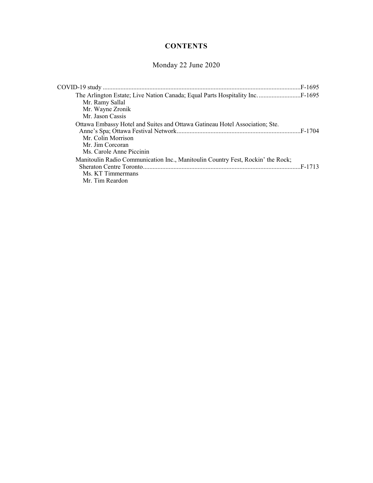# **CONTENTS**

# Monday 22 June 2020

| Mr. Ramy Sallal<br>Mr. Wayne Zronik<br>Mr. Jason Cassis                                                                                           |         |
|---------------------------------------------------------------------------------------------------------------------------------------------------|---------|
| Ottawa Embassy Hotel and Suites and Ottawa Gatineau Hotel Association; Ste.<br>Mr. Colin Morrison<br>Mr. Jim Corcoran<br>Ms. Carole Anne Piccinin | .F-1704 |
| Manitoulin Radio Communication Inc., Manitoulin Country Fest, Rockin' the Rock;<br>Ms. KT Timmermans<br>Mr. Tim Reardon                           |         |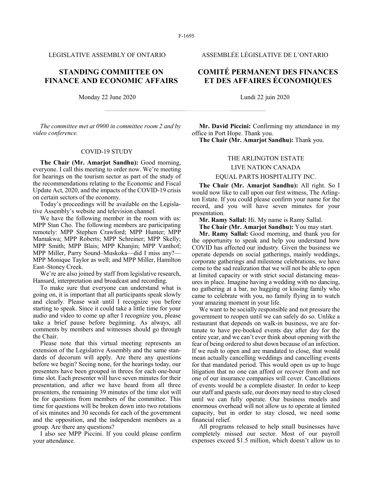# **STANDING COMMITTEE ON FINANCE AND ECONOMIC AFFAIRS**

Monday 22 June 2020 Lundi 22 juin 2020

*The committee met at 0900 in committee room 2 and by video conference.*

#### COVID-19 STUDY

**The Chair (Mr. Amarjot Sandhu):** Good morning, everyone. I call this meeting to order now. We're meeting for hearings on the tourism sector as part of the study of the recommendations relating to the Economic and Fiscal Update Act, 2020, and the impacts of the COVID-19 crisis on certain sectors of the economy.

Today's proceedings will be available on the Legislative Assembly's website and television channel.

We have the following member in the room with us: MPP Stan Cho. The following members are participating remotely: MPP Stephen Crawford; MPP Hunter; MPP Mamakwa; MPP Roberts; MPP Schreiner; MPP Skelly; MPP Smith; MPP Blais; MPP Khanjin; MPP Vanthof; MPP Miller, Parry Sound–Muskoka—did I miss any?— MPP Monique Taylor as well; and MPP Miller, Hamilton East–Stoney Creek.

We're are also joined by staff from legislative research, Hansard, interpretation and broadcast and recording.

To make sure that everyone can understand what is going on, it is important that all participants speak slowly and clearly. Please wait until I recognize you before starting to speak. Since it could take a little time for your audio and video to come up after I recognize you, please take a brief pause before beginning. As always, all comments by members and witnesses should go through the Chair.

Please note that this virtual meeting represents an extension of the Legislative Assembly and the same standards of decorum will apply. Are there any questions before we begin? Seeing none, for the hearings today, our presenters have been grouped in threes for each one-hour time slot. Each presenter will have seven minutes for their presentation, and after we have heard from all three presenters, the remaining 39 minutes of the time slot will be for questions from members of the committee. This time for questions will be broken down into two rotations of six minutes and 30 seconds for each of the government and the opposition, and the independent members as a group. Are there any questions?

I also see MPP Piccini. If you could please confirm your attendance.

LEGISLATIVE ASSEMBLY OF ONTARIO ASSEMBLÉE LÉGISLATIVE DE L'ONTARIO

# **COMITÉ PERMANENT DES FINANCES ET DES AFFAIRES ÉCONOMIQUES**

**Mr. David Piccini:** Confirming my attendance in my office in Port Hope. Thank you.

**The Chair (Mr. Amarjot Sandhu):** Thank you.

#### THE ARLINGTON ESTATE

#### LIVE NATION CANADA

#### EQUAL PARTS HOSPITALITY INC.

**The Chair (Mr. Amarjot Sandhu):** All right. So I would now like to call upon our first witness, The Arlington Estate. If you could please confirm your name for the record, and you will have seven minutes for your presentation.

**Mr. Ramy Sallal:** Hi. My name is Ramy Sallal.

**The Chair (Mr. Amarjot Sandhu):** You may start.

**Mr. Ramy Sallal:** Good morning, and thank you for the opportunity to speak and help you understand how COVID has affected our industry. Given the business we operate depends on social gatherings, mainly weddings, corporate gatherings and milestone celebrations, we have come to the sad realization that we will not be able to open at limited capacity or with strict social distancing measures in place. Imagine having a wedding with no dancing, no gathering at a bar, no hugging or kissing family who came to celebrate with you, no family flying in to watch your amazing moment in your life.

We want to be socially responsible and not pressure the government to reopen until we can safely do so. Unlike a restaurant that depends on walk-in business, we are fortunate to have pre-booked events day after day for the entire year, and we can't ever think about opening with the fear of being ordered to shut down because of an infection. If we rush to open and are mandated to close, that would mean actually cancelling weddings and cancelling events for that mandated period. This would open us up to huge litigation that no one can afford or recover from and not one of our insurance companies will cover. Cancellations of events would be a complete disaster. In order to keep our staff and guests safe, our doors may need to stay closed until we can fully operate. Our business models and enormous overhead will not allow us to operate at limited capacity, but in order to stay closed, we need some financial relief.

All programs released to help small businesses have completely missed our sector. Most of our payroll expenses exceed \$1.5 million, which doesn't allow us to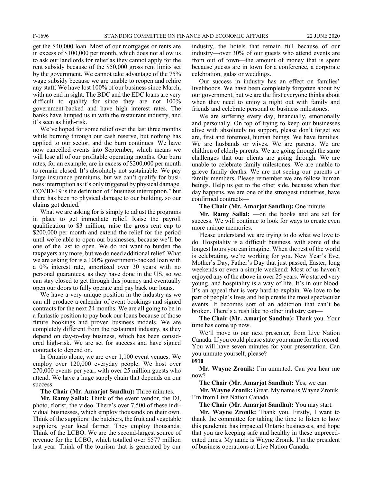get the \$40,000 loan. Most of our mortgages or rents are in excess of \$100,000 per month, which does not allow us to ask our landlords for relief as they cannot apply for the rent subsidy because of the \$50,000 gross rent limits set by the government. We cannot take advantage of the 75% wage subsidy because we are unable to reopen and rehire any staff. We have lost 100% of our business since March, with no end in sight. The BDC and the EDC loans are very difficult to qualify for since they are not 100% government-backed and have high interest rates. The banks have lumped us in with the restaurant industry, and it's seen as high-risk.

We've hoped for some relief over the last three months while burning through our cash reserve, but nothing has applied to our sector, and the burn continues. We have now cancelled events into September, which means we will lose all of our profitable operating months. Our burn rates, for an example, are in excess of \$200,000 per month to remain closed. It's absolutely not sustainable. We pay large insurance premiums, but we can't qualify for business interruption as it's only triggered by physical damage. COVID-19 is the definition of "business interruption," but there has been no physical damage to our building, so our claims got denied.

What we are asking for is simply to adjust the programs in place to get immediate relief. Raise the payroll qualification to \$3 million, raise the gross rent cap to \$200,000 per month and extend the relief for the period until we're able to open our businesses, because we'll be one of the last to open. We do not want to burden the taxpayers any more, but we do need additional relief. What we are asking for is a 100% government-backed loan with a 0% interest rate, amortized over 30 years with no personal guarantees, as they have done in the US, so we can stay closed to get through this journey and eventually open our doors to fully operate and pay back our loans.

We have a very unique position in the industry as we can all produce a calendar of event bookings and signed contracts for the next 24 months. We are all going to be in a fantastic position to pay back our loans because of those future bookings and proven business models. We are completely different from the restaurant industry, as they depend on day-to-day business, which has been considered high-risk. We are set for success and have signed contracts to depend on.

In Ontario alone, we are over 1,100 event venues. We employ over 120,000 everyday people. We host over 270,000 events per year, with over 25 million guests who attend. We have a huge supply chain that depends on our success.

**The Chair (Mr. Amarjot Sandhu):** Three minutes.

**Mr. Ramy Sallal:** Think of the event vendor, the DJ, photo, florist, the video. There's over 7,500 of these individual businesses, which employ thousands on their own. Think of the suppliers: the butchers, the fruit and vegetable suppliers, your local farmer. They employ thousands. Think of the LCBO. We are the second-largest source of revenue for the LCBO, which totalled over \$577 million last year. Think of the tourism that is generated by our

industry, the hotels that remain full because of our industry—over 30% of our guests who attend events are from out of town—the amount of money that is spent because guests are in town for a conference, a corporate celebration, galas or weddings.

Our success in industry has an effect on families' livelihoods. We have been completely forgotten about by our government, but we are the first everyone thinks about when they need to enjoy a night out with family and friends and celebrate personal or business milestones.

We are suffering every day, financially, emotionally and personally. On top of trying to keep our businesses alive with absolutely no support, please don't forget we are, first and foremost, human beings. We have families. We are husbands or wives. We are parents. We are children of elderly parents. We are going through the same challenges that our clients are going through. We are unable to celebrate family milestones. We are unable to grieve family deaths. We are not seeing our parents or family members. Please remember we are fellow human beings. Help us get to the other side, because when that day happens, we are one of the strongest industries, have confirmed contracts—

**The Chair (Mr. Amarjot Sandhu):** One minute.

**Mr. Ramy Sallal:** —on the books and are set for success. We will continue to look for ways to create even more unique memories.

Please understand we are trying to do what we love to do. Hospitality is a difficult business, with some of the longest hours you can imagine. When the rest of the world is celebrating, we're working for you. New Year's Eve, Mother's Day, Father's Day that just passed, Easter, long weekends or even a simple weekend: Most of us haven't enjoyed any of the above in over 25 years. We started very young, and hospitality is a way of life. It's in our blood. It's an appeal that is very hard to explain. We love to be part of people's lives and help create the most spectacular events. It becomes sort of an addiction that can't be broken. There's a rush like no other industry can—

**The Chair (Mr. Amarjot Sandhu):** Thank you. Your time has come up now.

We'll move to our next presenter, from Live Nation Canada. If you could please state your name for the record. You will have seven minutes for your presentation. Can you unmute yourself, please?

**0910**

**Mr. Wayne Zronik:** I'm unmuted. Can you hear me now?

**The Chair (Mr. Amarjot Sandhu):** Yes, we can.

**Mr. Wayne Zronik:** Great. My name is Wayne Zronik. I'm from Live Nation Canada.

**The Chair (Mr. Amarjot Sandhu):** You may start.

**Mr. Wayne Zronik:** Thank you. Firstly, I want to thank the committee for taking the time to listen to how this pandemic has impacted Ontario businesses, and hope that you are keeping safe and healthy in these unprecedented times. My name is Wayne Zronik. I'm the president of business operations at Live Nation Canada.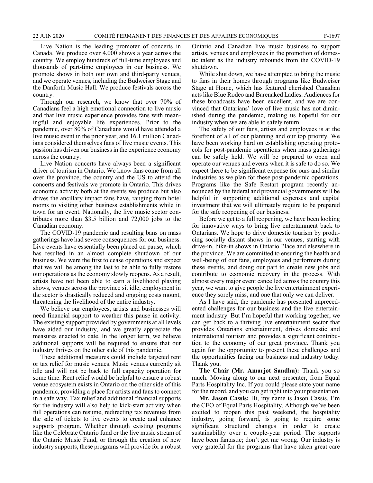Live Nation is the leading promoter of concerts in Canada. We produce over 4,000 shows a year across the country. We employ hundreds of full-time employees and thousands of part-time employees in our business. We promote shows in both our own and third-party venues, and we operate venues, including the Budweiser Stage and the Danforth Music Hall. We produce festivals across the country.

Through our research, we know that over 70% of Canadians feel a high emotional connection to live music and that live music experience provides fans with meaningful and enjoyable life experiences. Prior to the pandemic, over 80% of Canadians would have attended a live music event in the prior year, and 16.1 million Canadians considered themselves fans of live music events. This passion has driven our business in the experience economy across the country.

Live Nation concerts have always been a significant driver of tourism in Ontario. We know fans come from all over the province, the country and the US to attend the concerts and festivals we promote in Ontario. This drives economic activity both at the events we produce but also drives the ancillary impact fans have, ranging from hotel rooms to visiting other business establishments while in town for an event. Nationally, the live music sector contributes more than \$3.5 billion and 72,000 jobs to the Canadian economy.

The COVID-19 pandemic and resulting bans on mass gatherings have had severe consequences for our business. Live events have essentially been placed on pause, which has resulted in an almost complete shutdown of our business. We were the first to cease operations and expect that we will be among the last to be able to fully restore our operations as the economy slowly reopens. As a result, artists have not been able to earn a livelihood playing shows, venues across the province sit idle, employment in the sector is drastically reduced and ongoing costs mount, threatening the livelihood of the entire industry.

We believe our employees, artists and businesses will need financial support to weather this pause in activity. The existing support provided by governments at all levels have aided our industry, and we greatly appreciate the measures enacted to date. In the longer term, we believe additional supports will be required to ensure that our industry thrives on the other side of this pandemic.

These additional measures could include targeted rent or tax relief for music venues. Music venues currently sit idle and will not be back to full capacity operation for some time. Rent relief would be helpful to ensure a robust venue ecosystem exists in Ontario on the other side of this pandemic, providing a place for artists and fans to connect in a safe way. Tax relief and additional financial supports for the industry will also help to kick-start activity when full operations can resume, redirecting tax revenues from the sale of tickets to live events to create and enhance supports program. Whether through existing programs like the Celebrate Ontario fund or the live music stream of the Ontario Music Fund, or through the creation of new industry supports, these programs will provide for a robust

Ontario and Canadian live music business to support artists, venues and employees in the promotion of domestic talent as the industry rebounds from the COVID-19 shutdown.

While shut down, we have attempted to bring the music to fans in their homes through programs like Budweiser Stage at Home, which has featured cherished Canadian acts like Blue Rodeo and Barenaked Ladies. Audiences for these broadcasts have been excellent, and we are convinced that Ontarians' love of live music has not diminished during the pandemic, making us hopeful for our industry when we are able to safely return.

The safety of our fans, artists and employees is at the forefront of all of our planning and our top priority. We have been working hard on establishing operating protocols for post-pandemic operations when mass gatherings can be safely held. We will be prepared to open and operate our venues and events when it is safe to do so. We expect there to be significant expense for ours and similar industries as we plan for these post-pandemic operations. Programs like the Safe Restart program recently announced by the federal and provincial governments will be helpful in supporting additional expenses and capital investment that we will ultimately require to be prepared for the safe reopening of our business.

Before we get to a full reopening, we have been looking for innovative ways to bring live entertainment back to Ontarians. We hope to drive domestic tourism by producing socially distant shows in our venues, starting with drive-in, bike-in shows in Ontario Place and elsewhere in the province. We are committed to ensuring the health and well-being of our fans, employees and performers during these events, and doing our part to create new jobs and contribute to economic recovery in the process. With almost every major event cancelled across the country this year, we want to give people the live entertainment experience they sorely miss, and one that only we can deliver.

As I have said, the pandemic has presented unprecedented challenges for our business and the live entertainment industry. But I'm hopeful that working together, we can get back to a thriving live entertainment sector that provides Ontarians entertainment, drives domestic and international tourism and provides a significant contribution to the economy of our great province. Thank you again for the opportunity to present these challenges and the opportunities facing our business and industry today. Thank you.

**The Chair (Mr. Amarjot Sandhu):** Thank you so much. Moving along to our next presenter, from Equal Parts Hospitality Inc. If you could please state your name for the record, and you can get right into your presentation.

**Mr. Jason Cassis:** Hi, my name is Jason Cassis. I'm the CEO of Equal Parts Hospitality. Although we've been excited to reopen this past weekend, the hospitality industry, going forward, is going to require some significant structural changes in order to create sustainability over a couple-year period. The supports have been fantastic; don't get me wrong. Our industry is very grateful for the programs that have taken great care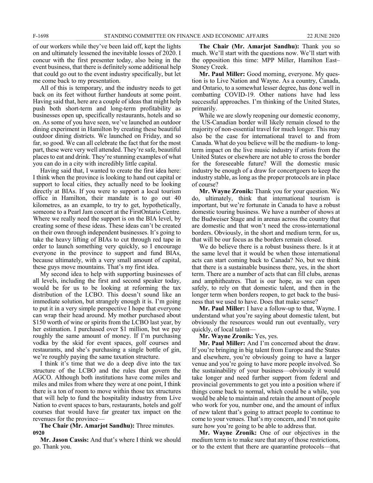of our workers while they've been laid off, kept the lights on and ultimately lessened the inevitable losses of 2020. I concur with the first presenter today, also being in the event business, that there is definitely some additional help that could go out to the event industry specifically, but let me come back to my presentation.

All of this is temporary, and the industry needs to get back on its feet without further handouts at some point. Having said that, here are a couple of ideas that might help push both short-term and long-term profitability as businesses open up, specifically restaurants, hotels and so on. As some of you have seen, we've launched an outdoor dining experiment in Hamilton by creating these beautiful outdoor dining districts. We launched on Friday, and so far, so good. We can all celebrate the fact that for the most part, these were very well attended. They're safe, beautiful places to eat and drink. They're stunning examples of what you can do in a city with incredibly little capital.

Having said that, I wanted to create the first idea here: I think when the province is looking to hand out capital or support to local cities, they actually need to be looking directly at BIAs. If you were to support a local tourism office in Hamilton, their mandate is to go out 40 kilometres, as an example, to try to get, hypothetically, someone to a Pearl Jam concert at the FirstOntario Centre. Where we really need the support is on the BIA level, by creating some of these ideas. These ideas can't be created on their own through independent businesses. It's going to take the heavy lifting of BIAs to cut through red tape in order to launch something very quickly, so I encourage everyone in the province to support and fund BIAs, because ultimately, with a very small amount of capital, these guys move mountains. That's my first idea.

My second idea to help with supporting businesses of all levels, including the first and second speaker today, would be for us to be looking at reforming the tax distribution of the LCBO. This doesn't sound like an immediate solution, but strangely enough it is. I'm going to put it in a very simple perspective I hope that everyone can wrap their head around. My mother purchased about \$150 worth of wine or spirits from the LCBO last year, by her estimation. I purchased over \$1 million, but we pay roughly the same amount of money. If I'm purchasing vodka by the skid for event spaces, golf courses and restaurants, and she's purchasing a single bottle of gin, we're roughly paying the same taxation structure.

I think it's time that we do a deep dive into the tax structure of the LCBO and the rules that govern the AGCO. Although both institutions have come miles and miles and miles from where they were at one point, I think there is a ton of room to move within those tax structures that will help to fund the hospitality industry from Live Nation to event spaces to bars, restaurants, hotels and golf courses that would have far greater tax impact on the revenues for the province—

**The Chair (Mr. Amarjot Sandhu):** Three minutes. **0920**

**Mr. Jason Cassis:** And that's where I think we should go. Thank you.

**The Chair (Mr. Amarjot Sandhu):** Thank you so much. We'll start with the questions now. We'll start with the opposition this time: MPP Miller, Hamilton East– Stoney Creek.

**Mr. Paul Miller:** Good morning, everyone. My question is to Live Nation and Wayne. As a country, Canada, and Ontario, to a somewhat lesser degree, has done well in combatting COVID-19. Other nations have had less successful approaches. I'm thinking of the United States, primarily.

While we are slowly reopening our domestic economy, the US-Canadian border will likely remain closed to the majority of non-essential travel for much longer. This may also be the case for international travel to and from Canada. What do you believe will be the medium- to longterm impact on the live music industry if artists from the United States or elsewhere are not able to cross the border for the foreseeable future? Will the domestic music industry be enough of a draw for concertgoers to keep the industry stable, as long as the proper protocols are in place of course?

**Mr. Wayne Zronik:** Thank you for your question. We do, ultimately, think that international tourism is important, but we're fortunate in Canada to have a robust domestic touring business. We have a number of shows at the Budweiser Stage and in arenas across the country that are domestic and that won't need the cross-international borders. Obviously, in the short and medium term, for us, that will be our focus as the borders remain closed.

We do believe there is a robust business there. Is it at the same level that it would be when those international acts can start coming back to Canada? No, but we think that there is a sustainable business there, yes, in the short term. There are a number of acts that can fill clubs, arenas and amphitheatres. That is our hope, as we can open safely, to rely on that domestic talent, and then in the longer term when borders reopen, to get back to the business that we used to have. Does that make sense?

**Mr. Paul Miller:** I have a follow-up to that, Wayne. I understand what you're saying about domestic talent, but obviously the resources would run out eventually, very quickly, of local talent—

**Mr. Wayne Zronik:** Yes, yes.

**Mr. Paul Miller:** And I'm concerned about the draw. If you're bringing in big talent from Europe and the States and elsewhere, you're obviously going to have a larger venue and you're going to have more people involved. So the sustainability of your business—obviously it would take longer and need further support from federal and provincial governments to get you into a position where if things come back to normal, which could be a while, you would be able to maintain and retain the amount of people who work for you, number one, and the amount of influx of new talent that's going to attract people to continue to come to your venues. That's my concern, and I'm not quite sure how you're going to be able to address that.

**Mr. Wayne Zronik:** One of our objectives in the medium term is to make sure that any of those restrictions, or to the extent that there are quarantine protocols—that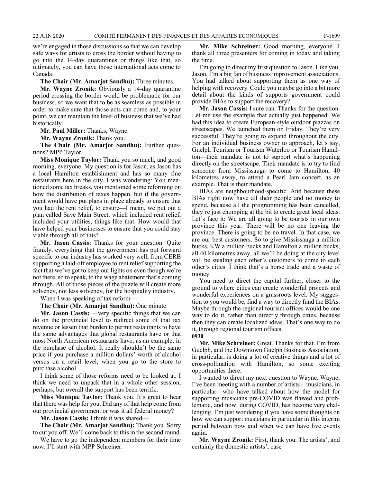we're engaged in those discussions so that we can develop safe ways for artists to cross the border without having to go into the 14-day quarantines or things like that, so ultimately, you can have those international acts come to Canada.

**The Chair (Mr. Amarjot Sandhu):** Three minutes.

**Mr. Wayne Zronik:** Obviously a 14-day quarantine period crossing the border would be problematic for our business, so we want that to be as seamless as possible in order to make sure that those acts can come and, to your point, we can maintain the level of business that we've had historically.

**Mr. Paul Miller:** Thanks, Wayne.

**Mr. Wayne Zronik:** Thank you.

**The Chair (Mr. Amarjot Sandhu):** Further questions? MPP Taylor.

**Miss Monique Taylor:** Thank you so much, and good morning, everyone. My question is for Jason, as Jason has a local Hamilton establishment and has so many fine restaurants here in the city. I was wondering: You mentioned some tax breaks, you mentioned some reforming on how the distribution of taxes happen, but if the government would have put plans in place already to ensure that you had the rent relief, to ensure—I mean, we put out a plan called Save Main Street, which included rent relief, included your utilities, things like that. How would that have helped your businesses to ensure that you could stay viable through all of this?

**Mr. Jason Cassis:** Thanks for your question. Quite frankly, everything that the government has put forward specific to our industry has worked very well, from CERB supporting a laid-off employee to rent relief supporting the fact that we've got to keep our lights on even though we're not there, so to speak, to the wage abatement that's coming through. All of those pieces of the puzzle will create more solvency, not less solvency, for the hospitality industry.

When I was speaking of tax reform—

**The Chair (Mr. Amarjot Sandhu):** One minute.

**Mr. Jason Cassis:** —very specific things that we can do on the provincial level to redirect some of that tax revenue or lessen that burden to permit restaurants to have the same advantages that global restaurants have or that most North American restaurants have, as an example, in the purchase of alcohol. It really shouldn't be the same price if you purchase a million dollars' worth of alcohol versus on a retail level, when you go to the store to purchase alcohol.

I think some of those reforms need to be looked at. I think we need to unpack that in a whole other session, perhaps, but overall the support has been terrific.

**Miss Monique Taylor:** Thank you. It's great to hear that there was help for you. Did any of that help come from our provincial government or was it all federal money?

**Mr. Jason Cassis:** I think it was shared—

**The Chair (Mr. Amarjot Sandhu):** Thank you. Sorry to cut you off. We'll come back to this in the second round.

We have to go the independent members for their time now. I'll start with MPP Schreiner.

**Mr. Mike Schreiner:** Good morning, everyone. I thank all three presenters for coming in today and taking the time.

I'm going to direct my first question to Jason. Like you, Jason, I'm a big fan of business improvement associations. You had talked about supporting them as one way of helping with recovery. Could you maybe go into a bit more detail about the kinds of supports government could provide BIAs to support the recovery?

**Mr. Jason Cassis:** I sure can. Thanks for the question. Let me use the example that actually just happened. We had this idea to create European-style outdoor piazzas on streetscapes. We launched them on Friday. They're very successful. They're going to expand throughout the city. For an individual business owner to approach, let's say, Guelph Tourism or Tourism Waterloo or Tourism Hamilton—their mandate is not to support what's happening directly on the streetscape. Their mandate is to try to find someone from Mississauga to come to Hamilton, 40 kilometres away, to attend a Pearl Jam concert, as an example. That is their mandate.

BIAs are neighbourhood-specific. And because these BIAs right now have all their people and no money to spend, because all the programming has been cancelled, they're just chomping at the bit to create great local ideas. Let's face it: We are all going to be tourists in our own province this year. There will be no one leaving the province. There is going to be no travel. In that case, we are our best customers. So to give Mississauga a million bucks, KW a million bucks and Hamilton a million bucks, all 40 kilometres away, all we'll be doing at the city level will be stealing each other's customers to come to each other's cities. I think that's a horse trade and a waste of money.

You need to direct the capital further, closer to the ground to where cities can create wonderful projects and wonderful experiences on a grassroots level. My suggestion to you would be, find a way to directly fund the BIAs. Maybe through the regional tourism offices would be one way to do it, rather than directly through cities, because then they can create localized ideas. That's one way to do it, through regional tourism offices.

**Mr. Mike Schreiner:** Great. Thanks for that. I'm from Guelph, and the Downtown Guelph Business Association, in particular, is doing a lot of creative things and a lot of cross-pollination with Hamilton, so some exciting opportunities there.

I wanted to direct my next question to Wayne. Wayne, I've been meeting with a number of artists—musicians, in particular—who have talked about how the model for supporting musicians pre-COVID was flawed and problematic, and now, during COVID, has become very challenging. I'm just wondering if you have some thoughts on how we can support musicians in particular in this interim period between now and when we can have live events again.

**Mr. Wayne Zronik:** First, thank you. The artists', and certainly the domestic artists', case—

**<sup>0930</sup>**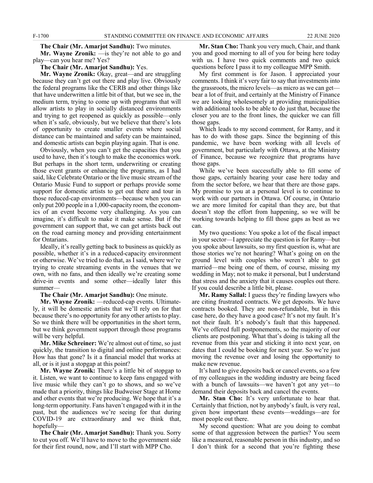#### **The Chair (Mr. Amarjot Sandhu):** Two minutes.

**Mr. Wayne Zronik:** —is they're not able to go and play—can you hear me? Yes?

#### **The Chair (Mr. Amarjot Sandhu):** Yes.

**Mr. Wayne Zronik:** Okay, great—and are struggling because they can't get out there and play live. Obviously the federal programs like the CERB and other things like that have underwritten a little bit of that, but we see in, the medium term, trying to come up with programs that will allow artists to play in socially distanced environments and trying to get reopened as quickly as possible—only when it's safe, obviously, but we believe that there's lots of opportunity to create smaller events where social distance can be maintained and safety can be maintained, and domestic artists can begin playing again. That is one.

Obviously, when you can't get the capacities that you used to have, then it's tough to make the economics work. But perhaps in the short term, underwriting or creating those event grants or enhancing the programs, as I had said, like Celebrate Ontario or the live music stream of the Ontario Music Fund to support or perhaps provide some support for domestic artists to get out there and tour in those reduced-cap environments—because when you can only put 200 people in a 1,000-capacity room, the economics of an event become very challenging. As you can imagine, it's difficult to make it make sense. But if the government can support that, we can get artists back out on the road earning money and providing entertainment for Ontarians.

Ideally, it's really getting back to business as quickly as possible, whether it's in a reduced-capacity environment or otherwise. We've tried to do that, as I said, where we're trying to create streaming events in the venues that we own, with no fans, and then ideally we're creating some drive-in events and some other—ideally later this summer—

#### **The Chair (Mr. Amarjot Sandhu):** One minute.

**Mr. Wayne Zronik:** —reduced-cap events. Ultimately, it will be domestic artists that we'll rely on for that because there's no opportunity for any other artists to play. So we think there will be opportunities in the short term, but we think government support through those programs will be very helpful.

**Mr. Mike Schreiner:** We're almost out of time, so just quickly, the transition to digital and online performances: How has that gone? Is it a financial model that works at all, or is it just a stopgap at this point?

**Mr. Wayne Zronik:** There's a little bit of stopgap to it. Listen, we want to continue to keep fans engaged with live music while they can't go to shows, and so we've made that a priority, things like Budweiser Stage at Home and other events that we're producing. We hope that it's a long-term opportunity. Fans haven't engaged with it in the past, but the audiences we're seeing for that during COVID-19 are extraordinary and we think that, hopefully—

**The Chair (Mr. Amarjot Sandhu):** Thank you. Sorry to cut you off. We'll have to move to the government side for their first round, now, and I'll start with MPP Cho.

**Mr. Stan Cho:** Thank you very much, Chair, and thank you and good morning to all of you for being here today with us. I have two quick comments and two quick questions before I pass it to my colleague MPP Smith.

My first comment is for Jason. I appreciated your comments. I think it's very fair to say that investments into the grassroots, the micro levels—as micro as we can get bear a lot of fruit, and certainly at the Ministry of Finance we are looking wholesomely at providing municipalities with additional tools to be able to do just that, because the closer you are to the front lines, the quicker we can fill those gaps.

Which leads to my second comment, for Ramy, and it has to do with those gaps. Since the beginning of this pandemic, we have been working with all levels of government, but particularly with Ottawa, at the Ministry of Finance, because we recognize that programs have those gaps.

While we've been successfully able to fill some of those gaps, certainly hearing your case here today and from the sector before, we hear that there are those gaps. My promise to you at a personal level is to continue to work with our partners in Ottawa. Of course, in Ontario we are more limited for capital than they are, but that doesn't stop the effort from happening, so we will be working towards helping to fill those gaps as best as we can.

My two questions: You spoke a lot of the fiscal impact in your sector—I appreciate the question is for Ramy—but you spoke about lawsuits, so my first question is, what are those stories we're not hearing? What's going on on the ground level with couples who weren't able to get married—me being one of them, of course, missing my wedding in May; not to make it personal, but I understand that stress and the anxiety that it causes couples out there. If you could describe a little bit, please.

**Mr. Ramy Sallal:** I guess they're finding lawyers who are citing frustrated contracts. We get deposits. We have contracts booked. They are non-refundable, but in this case here, do they have a good case? It's not my fault. It's not their fault. It's nobody's fault that this happened. We've offered full postponements, so the majority of our clients are postponing. What that's doing is taking all the revenue from this year and sticking it into next year, on dates that I could be booking for next year. So we're just moving the revenue over and losing the opportunity to make new revenue.

It's hard to give deposits back or cancel events, so a few of my colleagues in the wedding industry are being faced with a bunch of lawsuits—we haven't got any yet—to demand their deposits back and cancel the events.

**Mr. Stan Cho:** It's very unfortunate to hear that. Certainly that friction, not by anybody's fault, is very real, given how important these events—weddings—are for most people out there.

My second question: What are you doing to combat some of that aggression between the parties? You seem like a measured, reasonable person in this industry, and so I don't think for a second that you're fighting these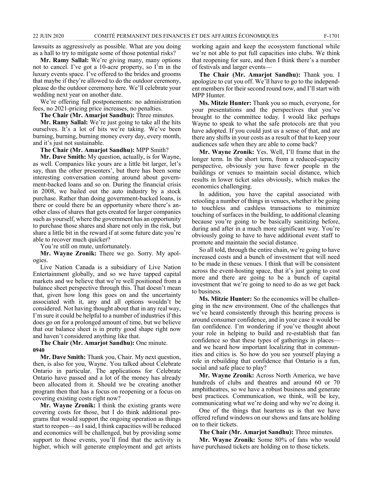lawsuits as aggressively as possible. What are you doing as a hall to try to mitigate some of those potential risks?

**Mr. Ramy Sallal:** We're giving many, many options not to cancel. I've got a 10-acre property, so I'm in the luxury events space. I've offered to the brides and grooms that maybe if they're allowed to do the outdoor ceremony, please do the outdoor ceremony here. We'll celebrate your wedding next year on another date.

We're offering full postponements: no administration fees, no 2021-pricing price increases, no penalties.

**The Chair (Mr. Amarjot Sandhu):** Three minutes.

**Mr. Ramy Sallal:** We're just going to take all the hits ourselves. It's a lot of hits we're taking. We've been burning, burning, burning money every day, every month, and it's just not sustainable.

**The Chair (Mr. Amarjot Sandhu):** MPP Smith?

**Mr. Dave Smith:** My question, actually, is for Wayne, as well. Companies like yours are a little bit larger, let's say, than the other presenters', but there has been some interesting conversation coming around about government-backed loans and so on. During the financial crisis in 2008, we bailed out the auto industry by a stock purchase. Rather than doing government-backed loans, is there or could there be an opportunity where there's another class of shares that gets created for larger companies such as yourself, where the government has an opportunity to purchase those shares and share not only in the risk, but share a little bit in the reward if at some future date you're able to recover much quicker?

You're still on mute, unfortunately.

**Mr. Wayne Zronik:** There we go. Sorry. My apologies.

Live Nation Canada is a subsidiary of Live Nation Entertainment globally, and so we have tapped capital markets and we believe that we're well positioned from a balance sheet perspective through this. That doesn't mean that, given how long this goes on and the uncertainty associated with it, any and all options wouldn't be considered. Not having thought about that in any real way, I'm sure it could be helpful to a number of industries if this does go on for a prolonged amount of time, but we believe that our balance sheet is in pretty good shape right now and haven't considered anything like that.

**The Chair (Mr. Amarjot Sandhu):** One minute. **0940**

**Mr. Dave Smith:** Thank you, Chair. My next question, then, is also for you, Wayne. You talked about Celebrate Ontario in particular. The applications for Celebrate Ontario have passed and a lot of the money has already been allocated from it. Should we be creating another program then that has a focus on reopening or a focus on covering existing costs right now?

**Mr. Wayne Zronik:** I think the existing grants were covering costs for those, but I do think additional programs that would support the ongoing operation as things start to reopen—as I said, I think capacities will be reduced and economics will be challenged, but by providing some support to those events, you'll find that the activity is higher, which will generate employment and get artists working again and keep the ecosystem functional while we're not able to put full capacities into clubs. We think that reopening for sure, and then I think there's a number of festivals and larger events—

**The Chair (Mr. Amarjot Sandhu):** Thank you. I apologize to cut you off. We'll have to go to the independent members for their second round now, and I'll start with MPP Hunter.

**Ms. Mitzie Hunter:** Thank you so much, everyone, for your presentations and the perspectives that you've brought to the committee today. I would like perhaps Wayne to speak to what the safe protocols are that you have adopted. If you could just us a sense of that, and are there any shifts in your costs as a result of that to keep your audiences safe when they are able to come back?

**Mr. Wayne Zronik:** Yes. Well, I'll frame that in the longer term. In the short term, from a reduced-capacity perspective, obviously you have fewer people in the buildings or venues to maintain social distance, which results in lower ticket sales obviously, which makes the economics challenging.

In addition, you have the capital associated with retooling a number of things in venues, whether it be going to touchless and cashless transactions to minimize touching of surfaces in the building, to additional cleaning because you're going to be basically sanitizing before, during and after in a much more significant way. You're obviously going to have to have additional event staff to promote and maintain the social distance.

So all told, through the entire chain, we're going to have increased costs and a bunch of investment that will need to be made in these venues. I think that will be consistent across the event-hosting space, that it's just going to cost more and there are going to be a bunch of capital investment that we're going to need to do as we get back to business.

**Ms. Mitzie Hunter:** So the economics will be challenging in the new environment. One of the challenges that we've heard consistently through this hearing process is around consumer confidence, and in your case it would be fan confidence. I'm wondering if you've thought about your role in helping to build and re-establish that fan confidence so that these types of gatherings in places and we heard how important localizing that in communities and cities is. So how do you see yourself playing a role in rebuilding that confidence that Ontario is a fun, social and safe place to play?

**Mr. Wayne Zronik:** Across North America, we have hundreds of clubs and theatres and around 60 or 70 amphitheatres, so we have a robust business and generate best practices. Communication, we think, will be key, communicating what we're doing and why we're doing it.

One of the things that heartens us is that we have offered refund windows on our shows and fans are holding on to their tickets.

**The Chair (Mr. Amarjot Sandhu):** Three minutes.

**Mr. Wayne Zronik:** Some 80% of fans who would have purchased tickets are holding on to those tickets.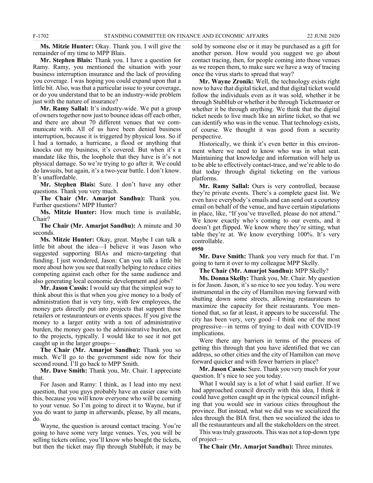**Ms. Mitzie Hunter:** Okay. Thank you. I will give the remainder of my time to MPP Blais.

**Mr. Stephen Blais:** Thank you. I have a question for Ramy. Ramy, you mentioned the situation with your business interruption insurance and the lack of providing you coverage. I was hoping you could expand upon that a little bit. Also, was that a particular issue to your coverage, or do you understand that to be an industry-wide problem just with the nature of insurance?

**Mr. Ramy Sallal:** It's industry-wide. We put a group of owners together now just to bounce ideas off each other, and there are about 70 different venues that we communicate with. All of us have been denied business interruption, because it is triggered by physical loss. So if I had a tornado, a hurricane, a flood or anything that knocks out my business, it's covered. But when it's a mandate like this, the loophole that they have is it's not physical damage. So we're trying to go after it. We could do lawsuits, but again, it's a two-year battle. I don't know. It's unaffordable.

**Mr. Stephen Blais:** Sure. I don't have any other questions. Thank you very much.

**The Chair (Mr. Amarjot Sandhu):** Thank you. Further questions? MPP Hunter?

**Ms. Mitzie Hunter:** How much time is available, Chair?

**The Chair (Mr. Amarjot Sandhu):** A minute and 30 seconds.

**Ms. Mitzie Hunter:** Okay, great. Maybe I can talk a little bit about the idea—I believe it was Jason who suggested supporting BIAs and micro-targeting that funding. I just wondered, Jason: Can you talk a little bit more about how you see that really helping to reduce cities competing against each other for the same audience and also generating local economic development and jobs?

**Mr. Jason Cassis:** I would say that the simplest way to think about this is that when you give money to a body of administration that is very tiny, with few employees, the money gets directly put into projects that support those retailers or restauranteurs or events spaces. If you give the money to a larger entity with a ton of administrative burden, the money goes to the administrative burden, not to the projects, typically. I would like to see it not get caught up in the larger groups—

**The Chair (Mr. Amarjot Sandhu):** Thank you so much. We'll go to the government side now for their second round. I'll go back to MPP Smith.

**Mr. Dave Smith:** Thank you, Mr. Chair. I appreciate that.

For Jason and Ramy: I think, as I lead into my next question, that you guys probably have an easier case with this, because you will know everyone who will be coming to your venue. So I'm going to direct it to Wayne, but if you do want to jump in afterwards, please, by all means, do.

Wayne, the question is around contact tracing. You're going to have some very large venues. Yes, you will be selling tickets online, you'll know who bought the tickets, but then the ticket may flip through StubHub, it may be sold by someone else or it may be purchased as a gift for another person. How would you suggest we go about contact tracing, then, for people coming into those venues as we reopen them, to make sure we have a way of tracing once the virus starts to spread that way?

**Mr. Wayne Zronik:** Well, the technology exists right now to have that digital ticket, and that digital ticket would follow the individuals even as it was sold, whether it be through StubHub or whether it be through Ticketmaster or whether it be through anything. We think that the digital ticket needs to live much like an airline ticket, so that we can identify who was in the venue. That technology exists, of course. We thought it was good from a security perspective.

Historically, we think it's even better in this environment where we need to know who was in what seat. Maintaining that knowledge and information will help us to be able to effectively contact-trace, and we're able to do that today through digital ticketing on the various platforms.

**Mr. Ramy Sallal:** Ours is very controlled, because they're private events. There's a complete guest list. We even have everybody's emails and can send out a courtesy email on behalf of the venue, and have certain stipulations in place, like, "If you've travelled, please do not attend." We know exactly who's coming to our events, and it doesn't get flipped. We know where they're sitting, what table they're at. We know everything 100%. It's very controllable.

**0950**

**Mr. Dave Smith:** Thank you very much for that. I'm going to turn it over to my colleague MPP Skelly.

**The Chair (Mr. Amarjot Sandhu):** MPP Skelly?

**Ms. Donna Skelly:** Thank you, Mr. Chair. My question is for Jason. Jason, it's so nice to see you today. You were instrumental in the city of Hamilton moving forward with shutting down some streets, allowing restaurateurs to maximize the capacity for their restaurants. You mentioned that, so far at least, it appears to be successful. The city has been very, very good—I think one of the most progressive—in terms of trying to deal with COVID-19 implications.

Were there any barriers in terms of the process of getting this through that you have identified that we can address, so other cities and the city of Hamilton can move forward quicker and with fewer barriers in place?

**Mr. Jason Cassis:** Sure. Thank you very much for your question. It's nice to see you today.

What I would say is a lot of what I said earlier. If we had approached council directly with this idea, I think it could have gotten caught up in the typical council infighting that you would see in various cities throughout the province. But instead, what we did was we socialized the idea through the BIA first, then we socialized the idea to all the restauranteurs and all the stakeholders on the street.

This was truly grassroots. This was not a top-down type of project—

**The Chair (Mr. Amarjot Sandhu):** Three minutes.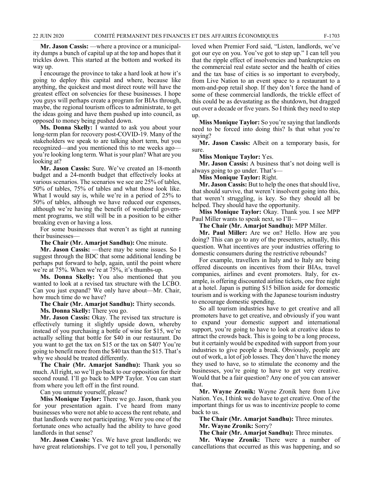**Mr. Jason Cassis:** —where a province or a municipality dumps a bunch of capital up at the top and hopes that it trickles down. This started at the bottom and worked its way up.

I encourage the province to take a hard look at how it's going to deploy this capital and where, because like anything, the quickest and most direct route will have the greatest effect on solvencies for these businesses. I hope you guys will perhaps create a program for BIAs through, maybe, the regional tourism offices to administrate, to get the ideas going and have them pushed up into council, as opposed to money being pushed down.

**Ms. Donna Skelly:** I wanted to ask you about your long-term plan for recovery post-COVID-19. Many of the stakeholders we speak to are talking short term, but you recognized—and you mentioned this to me weeks ago you're looking long term. What is your plan? What are you looking at?

**Mr. Jason Cassis:** Sure. We've created an 18-month budget and a 24-month budget that effectively looks at various scenarios. The scenarios we see are 25% of tables, 50% of tables, 75% of tables and what those look like. What I would say is, while we're in a period of 25% to 50% of tables, although we have reduced our expenses, although we're having the benefit of wonderful government programs, we still will be in a position to be either breaking even or having a loss.

For some businesses that weren't as tight at running their businesses—

**The Chair (Mr. Amarjot Sandhu):** One minute.

**Mr. Jason Cassis:** —there may be some issues. So I suggest through the BDC that some additional lending be perhaps put forward to help, again, until the point where we're at 75%. When we're at 75%, it's thumbs-up.

**Ms. Donna Skelly:** You also mentioned that you wanted to look at a revised tax structure with the LCBO. Can you just expand? We only have about—Mr. Chair, how much time do we have?

**The Chair (Mr. Amarjot Sandhu):** Thirty seconds.

**Ms. Donna Skelly:** There you go.

**Mr. Jason Cassis:** Okay. The revised tax structure is effectively turning it slightly upside down, whereby instead of you purchasing a bottle of wine for \$15, we're actually selling that bottle for \$40 in our restaurant. Do you want to get the tax on \$15 or the tax on \$40? You're going to benefit more from the \$40 tax than the \$15. That's why we should be treated differently.

**The Chair (Mr. Amarjot Sandhu):** Thank you so much. All right, so we'll go back to our opposition for their second round. I'll go back to MPP Taylor. You can start from where you left off in the first round.

Can you unmute yourself, please?

**Miss Monique Taylor:** There we go. Jason, thank you for your presentation again. I've heard from many businesses who were not able to access the rent rebate, and that landlords were not participating. Were you one of the fortunate ones who actually had the ability to have good landlords in that sense?

**Mr. Jason Cassis:** Yes. We have great landlords; we have great relationships. I've got to tell you, I personally loved when Premier Ford said, "Listen, landlords, we've got our eye on you. You've got to step up." I can tell you that the ripple effect of insolvencies and bankruptcies on the commercial real estate sector and the health of cities and the tax base of cities is so important to everybody, from Live Nation to an event space to a restaurant to a mom-and-pop retail shop. If they don't force the hand of some of these commercial landlords, the trickle effect of this could be as devastating as the shutdown, but dragged out over a decade or five years. So I think they need to step up.

**Miss Monique Taylor:** So you're saying that landlords need to be forced into doing this? Is that what you're saying?

**Mr. Jason Cassis:** Albeit on a temporary basis, for sure.

**Miss Monique Taylor:** Yes.

**Mr. Jason Cassis:** A business that's not doing well is always going to go under. That's—

**Miss Monique Taylor:** Right.

**Mr. Jason Cassis:** But to help the ones that should live, that should survive, that weren't insolvent going into this, that weren't struggling, is key. So they should all be helped. They should have the opportunity.

**Miss Monique Taylor:** Okay. Thank you. I see MPP Paul Miller wants to speak next, so I'll—

**The Chair (Mr. Amarjot Sandhu):** MPP Miller.

**Mr. Paul Miller:** Are we on? Hello. How are you doing? This can go to any of the presenters, actually, this question. What incentives are your industries offering to domestic consumers during the restrictive rebounds?

For example, travellers in Italy and to Italy are being offered discounts on incentives from their BIAs, travel companies, airlines and event promoters. Italy, for example, is offering discounted airline tickets, one free night at a hotel. Japan is putting \$15 billion aside for domestic tourism and is working with the Japanese tourism industry to encourage domestic spending.

So all tourism industries have to get creative and all promoters have to get creative, and obviously if you want to expand your domestic support and international support, you're going to have to look at creative ideas to attract the crowds back. This is going to be a long process, but it certainly would be expedited with support from your industries to give people a break. Obviously, people are out of work, a lot of job losses. They don't have the money they used to have, so to stimulate the economy and the businesses, you're going to have to get very creative. Would that be a fair question? Any one of you can answer that.

**Mr. Wayne Zronik:** Wayne Zronik here from Live Nation. Yes, I think we do have to get creative. One of the important things for us was to incentivize people to come back to us.

**The Chair (Mr. Amarjot Sandhu):** Three minutes.

**Mr. Wayne Zronik:** Sorry?

**The Chair (Mr. Amarjot Sandhu):** Three minutes.

**Mr. Wayne Zronik:** There were a number of cancellations that occurred as this was happening, and so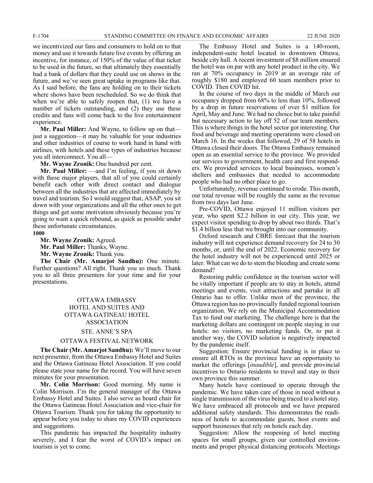we incentivized our fans and consumers to hold on to that money and use it towards future live events by offering an incentive, for instance, of 150% of the value of that ticket to be used in the future, so that ultimately they essentially had a bank of dollars that they could use on shows in the future, and we've seen great uptake in programs like that. As I said before, the fans are holding on to their tickets where shows have been rescheduled. So we do think that when we're able to safely reopen that, (1) we have a number of tickets outstanding, and (2) they use these credits and fans will come back to the live entertainment experience.

**Mr. Paul Miller:** And Wayne, to follow up on that just a suggestion—it may be valuable for your industries and other industries of course to work hand in hand with airlines, with hotels and these types of industries because you all interconnect. You all—

**Mr. Wayne Zronik:** One hundred per cent.

**Mr. Paul Miller:** —and I'm feeling, if you sit down with these major players, that all of you could certainly benefit each other with direct contact and dialogue between all the industries that are affected immediately by travel and tourism. So I would suggest that, ASAP, you sit down with your organizations and all the other ones to get things and get some motivation obviously because you're going to want a quick rebound, as quick as possible under these unfortunate circumstances. **1000**

**Mr. Wayne Zronik:** Agreed.

**Mr. Paul Miller:** Thanks, Wayne. **Mr. Wayne Zronik:** Thank you.

**The Chair (Mr. Amarjot Sandhu):** One minute. Further questions? All right. Thank you so much. Thank you to all three presenters for your time and for your presentations.

## OTTAWA EMBASSY HOTEL AND SUITES AND OTTAWA GATINEAU HOTEL ASSOCIATION

#### STE. ANNE'S SPA

#### OTTAWA FESTIVAL NETWORK

**The Chair (Mr. Amarjot Sandhu):** We'll move to our next presenter, from the Ottawa Embassy Hotel and Suites and the Ottawa Gatineau Hotel Association. If you could please state your name for the record. You will have seven minutes for your presentation.

**Mr. Colin Morrison:** Good morning. My name is Colin Morrison. I'm the general manager of the Ottawa Embassy Hotel and Suites. I also serve as board chair for the Ottawa Gatineau Hotel Association and vice-chair for Ottawa Tourism. Thank you for taking the opportunity to appear before you today to share my COVID experiences and suggestions.

This pandemic has impacted the hospitality industry severely, and I fear the worst of COVID's impact on tourism is yet to come.

The Embassy Hotel and Suites is a 140-room, independent-suite hotel located in downtown Ottawa, beside city hall. A recent investment of \$8 million ensured the hotel was on par with any hotel product in the city. We ran at 70% occupancy in 2019 at an average rate of roughly \$180 and employed 60 team members prior to COVID. Then COVID hit.

In the course of two days in the middle of March our occupancy dropped from 68% to less than 10%, followed by a drop in future reservations of over \$1 million for April, May and June. We had no choice but to take painful but necessary action to lay off 52 of our team members. This is where things in the hotel sector got interesting. Our food and beverage and meeting operations were closed on March 16. In the weeks that followed, 29 of 58 hotels in Ottawa closed their doors. The Ottawa Embassy remained open as an essential service to the province. We provided our services to government, health care and first responders. We provided services to local businesses, women's shelters and embassies that needed to accommodate people who had no other place to go.

Unfortunately, revenue continued to erode. This month, our total revenue will be roughly the same as the revenue from two days last June.

Pre-COVID, Ottawa enjoyed 11 million visitors per year, who spent \$2.2 billion in our city. This year, we expect visitor spending to drop by about two thirds. That's \$1.4 billion less that we brought into our community.

Oxford research and CBRE forecast that the tourism industry will not experience demand recovery for 24 to 30 months, or, until the end of 2022. Economic recovery for the hotel industry will not be experienced until 2025 or later. What can we do to stem the bleeding and create some demand?

Restoring public confidence in the tourism sector will be vitally important if people are to stay in hotels, attend meetings and events, visit attractions and partake in all Ontario has to offer. Unlike most of the province, the Ottawa region has no provincially funded regional tourism organization. We rely on the Municipal Accommodation Tax to fund our marketing. The challenge here is that the marketing dollars are contingent on people staying in our hotels: no visitors, no marketing funds. Or, to put it another way, the COVID solution is negatively impacted by the pandemic itself.

Suggestion: Ensure provincial funding is in place to ensure all RTOs in the province have an opportunity to market the offerings [*inaudible*], and provide provincial incentives to Ontario residents to travel and stay in their own province this summer.

Many hotels have continued to operate through the pandemic. We have taken care of those in need without a single transmission of the virus being traced to a hotel stay. We have embraced all protocols and we have prepared additional safety standards. This demonstrates the readiness of hotels to accommodate guests, host events and support businesses that rely on hotels each day.

Suggestion: Allow the reopening of hotel meeting spaces for small groups, given our controlled environments and proper physical distancing protocols. Meetings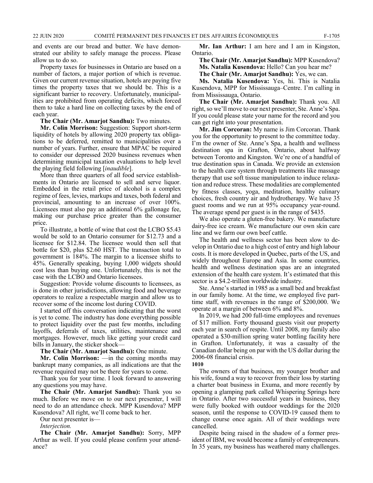and events are our bread and butter. We have demonstrated our ability to safely manage the process. Please allow us to do so.

Property taxes for businesses in Ontario are based on a number of factors, a major portion of which is revenue. Given our current revenue situation, hotels are paying five times the property taxes that we should be. This is a significant barrier to recovery. Unfortunately, municipalities are prohibited from operating deficits, which forced them to take a hard line on collecting taxes by the end of each year.

#### **The Chair (Mr. Amarjot Sandhu):** Two minutes.

**Mr. Colin Morrison:** Suggestion: Support short-term liquidity of hotels by allowing 2020 property tax obligations to be deferred, remitted to municipalities over a number of years. Further, ensure that MPAC be required to consider our depressed 2020 business revenues when determining municipal taxation evaluations to help level the playing field following [*inaudible*].

More than three quarters of all food service establishments in Ontario are licensed to sell and serve liquor. Embedded in the retail price of alcohol is a complex regime of fees, levies, markups and taxes, both federal and provincial, amounting to an increase of over 100%. Licensees must also pay an additional 6% gallonage fee, making our purchase price greater than the consumer price.

To illustrate, a bottle of wine that cost the LCBO \$5.43 would be sold to an Ontario consumer for \$12.73 and a licensee for \$12.84. The licensee would then sell that bottle for \$20, plus \$2.60 HST. The transaction total to government is 184%. The margin to a licensee shifts to 45%. Generally speaking, buying 1,000 widgets should cost less than buying one. Unfortunately, this is not the case with the LCBO and Ontario licensees.

Suggestion: Provide volume discounts to licensees, as is done in other jurisdictions, allowing food and beverage operators to realize a respectable margin and allow us to recover some of the income lost during COVID.

I started off this conversation indicating that the worst is yet to come. The industry has done everything possible to protect liquidity over the past few months, including layoffs, deferrals of taxes, utilities, maintenance and mortgages. However, much like getting your credit card bills in January, the sticker shock—

#### **The Chair (Mr. Amarjot Sandhu):** One minute.

**Mr. Colin Morrison:** —in the coming months may bankrupt many companies, as all indications are that the revenue required may not be there for years to come.

Thank you for your time. I look forward to answering any questions you may have.

**The Chair (Mr. Amarjot Sandhu):** Thank you so much. Before we move on to our next presenter, I will need to do an attendance check. MPP Kusendova? MPP Kusendova? All right, we'll come back to her.

Our next presenter is—

*Interjection.*

**The Chair (Mr. Amarjot Sandhu):** Sorry, MPP Arthur as well. If you could please confirm your attendance?

**Mr. Ian Arthur:** I am here and I am in Kingston, Ontario.

**The Chair (Mr. Amarjot Sandhu):** MPP Kusendova? **Ms. Natalia Kusendova:** Hello? Can you hear me?

**The Chair (Mr. Amarjot Sandhu):** Yes, we can.

**Ms. Natalia Kusendova:** Yes, hi. This is Natalia Kusendova, MPP for Mississauga–Centre. I'm calling in from Mississauga, Ontario.

**The Chair (Mr. Amarjot Sandhu):** Thank you. All right, so we'll move to our next presenter, Ste. Anne's Spa. If you could please state your name for the record and you can get right into your presentation.

**Mr. Jim Corcoran:** My name is Jim Corcoran. Thank you for the opportunity to present to the committee today. I'm the owner of Ste. Anne's Spa, a health and wellness destination spa in Grafton, Ontario, about halfway between Toronto and Kingston. We're one of a handful of true destination spas in Canada. We provide an extension to the health care system through treatments like massage therapy that use soft tissue manipulation to induce relaxation and reduce stress. These modalities are complemented by fitness classes, yoga, meditation, healthy culinary choices, fresh country air and hydrotherapy. We have 35 guest rooms and we run at 95% occupancy year-round. The average spend per guest is in the range of \$435.

We also operate a gluten-free bakery. We manufacture dairy-free ice cream. We manufacture our own skin care line and we farm our own beef cattle.

The health and wellness sector has been slow to develop in Ontario due to a high cost of entry and high labour costs. It is more developed in Quebec, parts of the US, and widely throughout Europe and Asia. In some countries, health and wellness destination spas are an integrated extension of the health care system. It's estimated that this sector is a \$4.2-trillion worldwide industry.

Ste. Anne's started in 1985 as a small bed and breakfast in our family home. At the time, we employed five parttime staff, with revenues in the range of \$200,000. We operate at a margin of between 6% and 8%.

In 2019, we had 200 full-time employees and revenues of \$17 million. Forty thousand guests visit our property each year in search of respite. Until 2008, my family also operated a \$30-million spring water bottling facility here in Grafton. Unfortunately, it was a casualty of the Canadian dollar being on par with the US dollar during the 2006-08 financial crisis.

#### **1010**

The owners of that business, my younger brother and his wife, found a way to recover from their loss by starting a charter boat business in Exuma, and more recently by opening a glamping park called Whispering Springs here in Ontario. After two successful years in business, they were fully booked with outdoor weddings for the 2020 season, until the response to COVID-19 caused them to change course once again. All of their weddings were cancelled.

Despite being raised in the shadow of a former president of IBM, we would become a family of entrepreneurs. In 35 years, my business has weathered many challenges.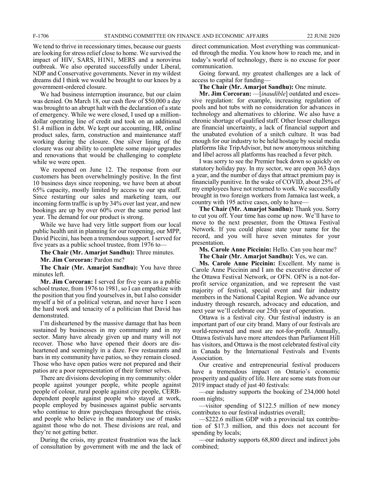We tend to thrive in recessionary times, because our guests are looking for stress relief close to home. We survived the impact of HIV, SARS, H1N1, MERS and a norovirus outbreak. We also operated successfully under Liberal, NDP and Conservative governments. Never in my wildest dreams did I think we would be brought to our knees by a government-ordered closure.

We had business interruption insurance, but our claim was denied. On March 18, our cash flow of \$50,000 a day was brought to an abrupt halt with the declaration of a state of emergency. While we were closed, I used up a milliondollar operating line of credit and took on an additional \$1.4 million in debt. We kept our accounting, HR, online product sales, farm, construction and maintenance staff working during the closure. One silver lining of the closure was our ability to complete some major upgrades and renovations that would be challenging to complete while we were open.

We reopened on June 12. The response from our customers has been overwhelmingly positive. In the first 10 business days since reopening, we have been at about 65% capacity, mostly limited by access to our spa staff. Since restarting our sales and marketing team, our incoming form traffic is up by 34% over last year, and new bookings are up by over 60% over the same period last year. The demand for our product is strong.

While we have had very little support from our local public health unit in planning for our reopening, our MPP, David Piccini, has been a tremendous support. I served for five years as a public school trustee, from 1976 to—

**The Chair (Mr. Amarjot Sandhu):** Three minutes.

**Mr. Jim Corcoran:** Pardon me?

**The Chair (Mr. Amarjot Sandhu):** You have three minutes left.

**Mr. Jim Corcoran:** I served for five years as a public school trustee, from 1976 to 1981, so I can empathize with the position that you find yourselves in, but I also consider myself a bit of a political veteran, and never have I seen the hard work and tenacity of a politician that David has demonstrated.

I'm disheartened by the massive damage that has been sustained by businesses in my community and in my sector. Many have already given up and many will not recover. Those who have opened their doors are disheartened and seemingly in a daze. Few restaurants and bars in my community have patios, so they remain closed. Those who have open patios were not prepared and their patios are a poor representation of their former selves.

There are divisions developing in my community: older people against younger people, white people against people of colour, rural people against city people, CERBdependent people against people who stayed at work, people employed by businesses against public servants who continue to draw paycheques throughout the crisis, and people who believe in the mandatory use of masks against those who do not. These divisions are real, and they're not getting better.

During the crisis, my greatest frustration was the lack of consultation by government with me and the lack of direct communication. Most everything was communicated through the media. You know how to reach me, and in today's world of technology, there is no excuse for poor communication.

Going forward, my greatest challenges are a lack of access to capital for funding—

**The Chair (Mr. Amarjot Sandhu):** One minute.

**Mr. Jim Corcoran:** —[*inaudible*] outdated and excessive regulation: for example, increasing regulation of pools and hot tubs with no consideration for advances in technology and alternatives to chlorine. We also have a chronic shortage of qualified staff. Other lesser challenges are financial uncertainty, a lack of financial support and the unabated evolution of a snitch culture. It was bad enough for our industry to be held hostage by social media platforms like TripAdvisor, but now anonymous snitching and libel across all platforms has reached a fever pitch.

I was sorry to see the Premier back down so quickly on statutory holiday pay. In my sector, we are open 363 days a year, and the number of days that attract premium pay is financially punitive. In the wake of COVID, about 25% of my employees have not returned to work. We successfully brought in two foreign workers from Jamaica last week, a country with 195 active cases, only to have—

**The Chair (Mr. Amarjot Sandhu):** Thank you. Sorry to cut you off. Your time has come up now. We'll have to move to the next presenter, from the Ottawa Festival Network. If you could please state your name for the record, and you will have seven minutes for your presentation.

**Ms. Carole Anne Piccinin:** Hello. Can you hear me? **The Chair (Mr. Amarjot Sandhu):** Yes, we can.

**Ms. Carole Anne Piccinin:** Excellent. My name is Carole Anne Piccinin and I am the executive director of the Ottawa Festival Network, or OFN. OFN is a not-forprofit service organization, and we represent the vast majority of festival, special event and fair industry members in the National Capital Region. We advance our industry through research, advocacy and education, and next year we'll celebrate our 25th year of operation.

Ottawa is a festival city. Our festival industry is an important part of our city brand. Many of our festivals are world-renowned and most are not-for-profit. Annually, Ottawa festivals have more attendees than Parliament Hill has visitors, and Ottawa is the most celebrated festival city in Canada by the International Festivals and Events Association.

Our creative and entrepreneurial festival producers have a tremendous impact on Ontario's economic prosperity and quality of life. Here are some stats from our 2019 impact study of just 40 festivals:

—our industry supports the booking of 234,000 hotel room nights;

—visitor spending of \$122.5 million of new money contributes to our festival industries overall;

—\$222.6 million GDP with a provincial tax contribution of \$17.3 million, and this does not account for spending by locals;

—our industry supports 68,800 direct and indirect jobs combined;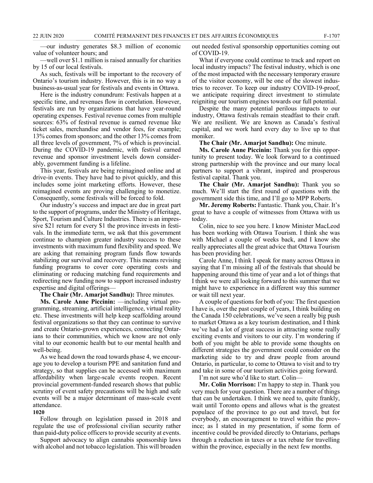—our industry generates \$8.3 million of economic value of volunteer hours; and

—well over \$1.1 million is raised annually for charities by 15 of our local festivals.

As such, festivals will be important to the recovery of Ontario's tourism industry. However, this is in no way a business-as-usual year for festivals and events in Ottawa.

Here is the industry conundrum: Festivals happen at a specific time, and revenues flow in correlation. However, festivals are run by organizations that have year-round operating expenses. Festival revenue comes from multiple sources: 63% of festival revenue is earned revenue like ticket sales, merchandise and vendor fees, for example; 13% comes from sponsors; and the other 13% comes from all three levels of government, 7% of which is provincial. During the COVID-19 pandemic, with festival earned revenue and sponsor investment levels down considerably, government funding is a lifeline.

This year, festivals are being reimagined online and at drive-in events. They have had to pivot quickly, and this includes some joint marketing efforts. However, these reimagined events are proving challenging to monetize. Consequently, some festivals will be forced to fold.

Our industry's success and impact are due in great part to the support of programs, under the Ministry of Heritage, Sport, Tourism and Culture Industries. There is an impressive \$21 return for every \$1 the province invests in festivals. In the immediate term, we ask that this government continue to champion greater industry success to these investments with maximum fund flexibility and speed. We are asking that remaining program funds flow towards stabilizing our survival and recovery. This means revising funding programs to cover core operating costs and eliminating or reducing matching fund requirements and redirecting new funding now to support increased industry expertise and digital offerings—

**The Chair (Mr. Amarjot Sandhu):** Three minutes.

**Ms. Carole Anne Piccinin:** —including virtual programming, streaming, artificial intelligence, virtual reality etc. These investments will help keep scaffolding around festival organizations so that they can continue to survive and create Ontario-grown experiences, connecting Ontarians to their communities, which we know are not only vital to our economic health but to our mental health and well-being.

As we head down the road towards phase 4, we encourage you to develop a tourism PPE and sanitation fund and strategy, so that supplies can be accessed with maximum affordability when large-scale events reopen. Recent provincial government-funded research shows that public scrutiny of event safety precautions will be high and safe events will be a major determinant of mass-scale event attendance.

#### **1020**

Follow through on legislation passed in 2018 and regulate the use of professional civilian security rather than paid-duty police officers to provide security at events.

Support advocacy to align cannabis sponsorship laws with alcohol and not tobacco legislation. This will broaden out needed festival sponsorship opportunities coming out of COVID-19.

What if everyone could continue to track and report on local industry impacts? The festival industry, which is one of the most impacted with the necessary temporary erasure of the visitor economy, will be one of the slowest industries to recover. To keep our industry COVID-19-proof, we anticipate requiring direct investment to stimulate reigniting our tourism engines towards our full potential.

Despite the many potential perilous impacts to our industry, Ottawa festivals remain steadfast to their craft. We are resilient. We are known as Canada's festival capital, and we work hard every day to live up to that moniker.

**The Chair (Mr. Amarjot Sandhu):** One minute.

**Ms. Carole Anne Piccinin:** Thank you for this opportunity to present today. We look forward to a continued strong partnership with the province and our many local partners to support a vibrant, inspired and prosperous festival capital. Thank you.

**The Chair (Mr. Amarjot Sandhu):** Thank you so much. We'll start the first round of questions with the government side this time, and I'll go to MPP Roberts.

**Mr. Jeremy Roberts:** Fantastic. Thank you, Chair. It's great to have a couple of witnesses from Ottawa with us today.

Colin, nice to see you here. I know Minister MacLeod has been working with Ottawa Tourism. I think she was with Michael a couple of weeks back, and I know she really appreciates all the great advice that Ottawa Tourism has been providing her.

Carole Anne, I think I speak for many across Ottawa in saying that I'm missing all of the festivals that should be happening around this time of year and a lot of things that I think we were all looking forward to this summer that we might have to experience in a different way this summer or wait till next year.

A couple of questions for both of you: The first question I have is, over the past couple of years, I think building on the Canada 150 celebrations, we've seen a really big push to market Ottawa as a key tourism destination, and I think we've had a lot of great success in attracting some really exciting events and visitors to our city. I'm wondering if both of you might be able to provide some thoughts on different strategies the government could consider on the marketing side to try and draw people from around Ontario, in particular, to come to Ottawa to visit and to try and take in some of our tourism activities going forward.

I'm not sure who'd like to start. Colin—

**Mr. Colin Morrison:** I'm happy to step in. Thank you very much for your question. There are a number of things that can be undertaken. I think we need to, quite frankly, wait until Toronto opens and allows what is the greatest populace of the province to go out and travel, but for everybody, an encouragement to travel within the province; as I stated in my presentation, if some form of incentive could be provided directly to Ontarians, perhaps through a reduction in taxes or a tax rebate for travelling within the province, especially in the next few months.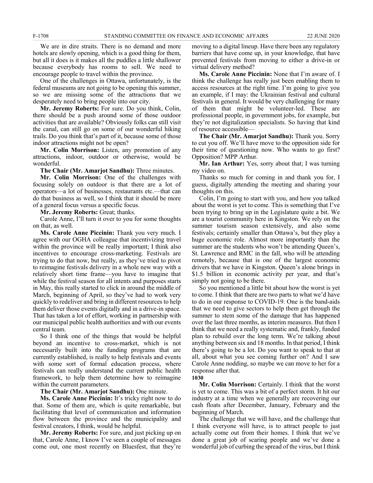We are in dire straits. There is no demand and more hotels are slowly opening, which is a good thing for them, but all it does is it makes all the puddles a little shallower because everybody has rooms to sell. We need to encourage people to travel within the province.

One of the challenges in Ottawa, unfortunately, is the federal museums are not going to be opening this summer, so we are missing some of the attractions that we desperately need to bring people into our city.

**Mr. Jeremy Roberts:** For sure. Do you think, Colin, there should be a push around some of those outdoor activities that are available? Obviously folks can still visit the canal, can still go on some of our wonderful hiking trails. Do you think that's part of it, because some of those indoor attractions might not be open?

**Mr. Colin Morrison:** Listen, any promotion of any attractions, indoor, outdoor or otherwise, would be wonderful.

**The Chair (Mr. Amarjot Sandhu):** Three minutes.

**Mr. Colin Morrison:** One of the challenges with focusing solely on outdoor is that there are a lot of operators—a lot of businesses, restaurants etc.—that can do that business as well, so I think that it should be more of a general focus versus a specific focus.

**Mr. Jeremy Roberts:** Great; thanks.

Carole Anne, I'll turn it over to you for some thoughts on that, as well.

**Ms. Carole Anne Piccinin:** Thank you very much. I agree with our OGHA colleague that incentivizing travel within the province will be really important; I think also incentives to encourage cross-marketing. Festivals are trying to do that now, but really, as they've tried to pivot to reimagine festivals delivery in a whole new way with a relatively short time frame—you have to imagine that while the festival season for all intents and purposes starts in May, this really started to click in around the middle of March, beginning of April, so they've had to work very quickly to redeliver and bring in different resources to help them deliver those events digitally and in a drive-in space. That has taken a lot of effort, working in partnership with our municipal public health authorities and with our events central team.

So I think one of the things that would be helpful beyond an incentive to cross-market, which is not necessarily built into the funding programs that are currently established, is really to help festivals and events with some sort of formal education process, where festivals can really understand the current public health framework, to help them determine how to reimagine within the current parameters.

#### **The Chair (Mr. Amarjot Sandhu):** One minute.

**Ms. Carole Anne Piccinin:** It's tricky right now to do that. Some of them are, which is quite remarkable, but facilitating that level of communication and information flow between the province and the municipality and festival creators, I think, would be helpful.

**Mr. Jeremy Roberts:** For sure, and just picking up on that, Carole Anne, I know I've seen a couple of messages come out, one most recently on Bluesfest, that they're moving to a digital lineup. Have there been any regulatory barriers that have come up, in your knowledge, that have prevented festivals from moving to either a drive-in or virtual delivery method?

**Ms. Carole Anne Piccinin:** None that I'm aware of. I think the challenge has really just been enabling them to access resources at the right time. I'm going to give you an example, if I may: the Ukrainian festival and cultural festivals in general. It would be very challenging for many of them that might be volunteer-led. These are professional people, in government jobs, for example, but they're not digitalization specialists. So having that kind of resource accessible—

**The Chair (Mr. Amarjot Sandhu):** Thank you. Sorry to cut you off. We'll have move to the opposition side for their time of questioning now. Who wants to go first? Opposition? MPP Arthur.

**Mr. Ian Arthur:** Yes, sorry about that; I was turning my video on.

Thanks so much for coming in and thank you for, I guess, digitally attending the meeting and sharing your thoughts on this.

Colin, I'm going to start with you, and how you talked about the worst is yet to come. This is something that I've been trying to bring up in the Legislature quite a bit. We are a tourist community here in Kingston. We rely on the summer tourism season extensively, and also some festivals; certainly smaller than Ottawa's, but they play a huge economic role. Almost more importantly than the summer are the students who won't be attending Queen's, St. Lawrence and RMC in the fall, who will be attending remotely, because that is one of the largest economic drivers that we have in Kingston. Queen's alone brings in \$1.5 billion in economic activity per year, and that's simply not going to be there.

So you mentioned a little bit about how the worst is yet to come. I think that there are two parts to what we'd have to do in our response to COVID-19. One is the band-aids that we need to give sectors to help them get through the summer to stem some of the damage that has happened over the last three months, as interim measures. But then I think that we need a really systematic and, frankly, funded plan to rebuild over the long term. We're talking about anything between six and 18 months. In that period, I think there's going to be a lot. Do you want to speak to that at all, about what you see coming further on? And I saw Carole Anne nodding, so maybe we can move to her for a response after that.

**1030**

**Mr. Colin Morrison:** Certainly. I think that the worst is yet to come. This was a bit of a perfect storm. It hit our industry at a time when we generally are recovering our cash floats after December, January, February and the beginning of March.

The challenge that we will have, and the challenge that I think everyone will have, is to attract people to just actually come out from their homes. I think that we've done a great job of scaring people and we've done a wonderful job of curbing the spread of the virus, but I think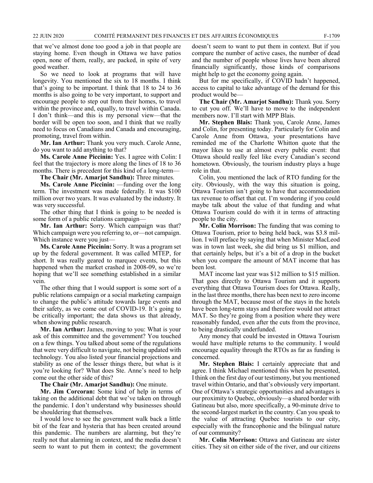that we've almost done too good a job in that people are staying home. Even though in Ottawa we have patios open, none of them, really, are packed, in spite of very good weather.

So we need to look at programs that will have longevity. You mentioned the six to 18 months. I think that's going to be important. I think that 18 to 24 to 36 months is also going to be very important, to support and encourage people to step out from their homes, to travel within the province and, equally, to travel within Canada. I don't think—and this is my personal view—that the border will be open too soon, and I think that we really need to focus on Canadians and Canada and encouraging, promoting, travel from within.

**Mr. Ian Arthur:** Thank you very much. Carole Anne, do you want to add anything to that?

**Ms. Carole Anne Piccinin:** Yes. I agree with Colin: I feel that the trajectory is more along the lines of 18 to 36 months. There is precedent for this kind of a long-term—

**The Chair (Mr. Amarjot Sandhu):** Three minutes.

**Ms. Carole Anne Piccinin:** —funding over the long term. The investment was made federally. It was \$100 million over two years. It was evaluated by the industry. It was very successful.

The other thing that I think is going to be needed is some form of a public relations campaign—

**Mr. Ian Arthur:** Sorry. Which campaign was that? Which campaign were you referring to, or—not campaign. Which instance were you just—

**Ms. Carole Anne Piccinin:** Sorry. It was a program set up by the federal government. It was called MTEP, for short. It was really geared to marquee events, but this happened when the market crashed in 2008-09, so we're hoping that we'll see something established in a similar vein.

The other thing that I would support is some sort of a public relations campaign or a social marketing campaign to change the public's attitude towards large events and their safety, as we come out of COVID-19. It's going to be critically important; the data shows us that already, when showing public research.

**Mr. Ian Arthur:** James, moving to you: What is your ask of this committee and the government? You touched on a few things. You talked about some of the regulations that were very difficult to navigate, not being updated with technology. You also listed your financial projections and stability as one of the lesser things there, but what is it you're looking for? What does Ste. Anne's need to help come out the other side of this?

**The Chair (Mr. Amarjot Sandhu):** One minute.

**Mr. Jim Corcoran:** Some kind of help in terms of taking on the additional debt that we've taken on through the pandemic. I don't understand why businesses should be shouldering that themselves.

I would love to see the government walk back a little bit of the fear and hysteria that has been created around this pandemic. The numbers are alarming, but they're really not that alarming in context, and the media doesn't seem to want to put them in context; the government doesn't seem to want to put them in context. But if you compare the number of active cases, the number of dead and the number of people whose lives have been altered financially significantly, those kinds of comparisons might help to get the economy going again.

But for me specifically, if COVID hadn't happened, access to capital to take advantage of the demand for this product would be—

**The Chair (Mr. Amarjot Sandhu):** Thank you. Sorry to cut you off. We'll have to move to the independent members now. I'll start with MPP Blais.

**Mr. Stephen Blais:** Thank you, Carole Anne, James and Colin, for presenting today. Particularly for Colin and Carole Anne from Ottawa, your presentations have reminded me of the Charlotte Whitton quote that the mayor likes to use at almost every public event: that Ottawa should really feel like every Canadian's second hometown. Obviously, the tourism industry plays a huge role in that.

Colin, you mentioned the lack of RTO funding for the city. Obviously, with the way this situation is going, Ottawa Tourism isn't going to have that accommodation tax revenue to offset that cut. I'm wondering if you could maybe talk about the value of that funding and what Ottawa Tourism could do with it in terms of attracting people to the city.

**Mr. Colin Morrison:** The funding that was coming to Ottawa Tourism, prior to being held back, was \$3.8 million. I will preface by saying that when Minister MacLeod was in town last week, she did bring us \$1 million, and that certainly helps, but it's a bit of a drop in the bucket when you compare the amount of MAT income that has been lost.

MAT income last year was \$12 million to \$15 million. That goes directly to Ottawa Tourism and it supports everything that Ottawa Tourism does for Ottawa. Really, in the last three months, there has been next to zero income through the MAT, because most of the stays in the hotels have been long-term stays and therefore would not attract MAT. So they're going from a position where they were reasonably funded, even after the cuts from the province, to being drastically underfunded.

Any money that could be invested in Ottawa Tourism would have multiple returns to the community. I would encourage equality through the RTOs as far as funding is concerned.

**Mr. Stephen Blais:** I certainly appreciate that and agree. I think Michael mentioned this when he presented, I think on the first day of our testimony, but you mentioned travel within Ontario, and that's obviously very important. One of Ottawa's strategic opportunities and advantages is our proximity to Quebec, obviously—a shared border with Gatineau but also, more specifically, a 90-minute drive to the second-largest market in the country. Can you speak to the value of attracting Quebec tourists to our city, especially with the francophonie and the bilingual nature of our community?

**Mr. Colin Morrison:** Ottawa and Gatineau are sister cities. They sit on either side of the river, and our citizens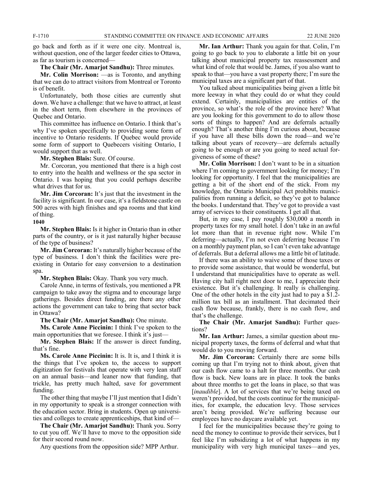go back and forth as if it were one city. Montreal is, without question, one of the larger feeder cities to Ottawa, as far as tourism is concerned—

**The Chair (Mr. Amarjot Sandhu):** Three minutes.

**Mr. Colin Morrison:** —as is Toronto, and anything that we can do to attract visitors from Montreal or Toronto is of benefit.

Unfortunately, both those cities are currently shut down. We have a challenge: that we have to attract, at least in the short term, from elsewhere in the provinces of Quebec and Ontario.

This committee has influence on Ontario. I think that's why I've spoken specifically to providing some form of incentive to Ontario residents. If Quebec would provide some form of support to Quebecers visiting Ontario, I would support that as well.

**Mr. Stephen Blais:** Sure. Of course.

Mr. Corcoran, you mentioned that there is a high cost to entry into the health and wellness or the spa sector in Ontario. I was hoping that you could perhaps describe what drives that for us.

**Mr. Jim Corcoran:** It's just that the investment in the facility is significant. In our case, it's a fieldstone castle on 500 acres with high finishes and spa rooms and that kind of thing.

#### **1040**

**Mr. Stephen Blais:** Is it higher in Ontario than in other parts of the country, or is it just naturally higher because of the type of business?

**Mr. Jim Corcoran:** It's naturally higher because of the type of business. I don't think the facilities were preexisting in Ontario for easy conversion to a destination spa.

**Mr. Stephen Blais:** Okay. Thank you very much.

Carole Anne, in terms of festivals, you mentioned a PR campaign to take away the stigma and to encourage large gatherings. Besides direct funding, are there any other actions the government can take to bring that sector back in Ottawa?

**The Chair (Mr. Amarjot Sandhu):** One minute.

**Ms. Carole Anne Piccinin:** I think I've spoken to the main opportunities that we foresee. I think it's just—

**Mr. Stephen Blais:** If the answer is direct funding, that's fine.

**Ms. Carole Anne Piccinin:** It is. It is, and I think it is the things that I've spoken to, the access to support digitization for festivals that operate with very lean staff on an annual basis—and leaner now that funding, that trickle, has pretty much halted, save for government funding.

The other thing that maybe I'll just mention that I didn't in my opportunity to speak is a stronger connection with the education sector. Bring in students. Open up universities and colleges to create apprenticeships, that kind of—

**The Chair (Mr. Amarjot Sandhu):** Thank you. Sorry to cut you off. We'll have to move to the opposition side for their second round now.

Any questions from the opposition side? MPP Arthur.

**Mr. Ian Arthur:** Thank you again for that. Colin, I'm going to go back to you to elaborate a little bit on your talking about municipal property tax reassessment and what kind of role that would be. James, if you also want to speak to that—you have a vast property there; I'm sure the municipal taxes are a significant part of that.

You talked about municipalities being given a little bit more leeway in what they could do or what they could extend. Certainly, municipalities are entities of the province, so what's the role of the province here? What are you looking for this government to do to allow those sorts of things to happen? And are deferrals actually enough? That's another thing I'm curious about, because if you have all these bills down the road—and we're talking about years of recovery—are deferrals actually going to be enough or are you going to need actual forgiveness of some of these?

**Mr. Colin Morrison:** I don't want to be in a situation where I'm coming to government looking for money; I'm looking for opportunity. I feel that the municipalities are getting a bit of the short end of the stick. From my knowledge, the Ontario Municipal Act prohibits municipalities from running a deficit, so they've got to balance the books. I understand that. They've got to provide a vast array of services to their constituents. I get all that.

But, in my case, I pay roughly \$30,000 a month in property taxes for my small hotel. I don't take in an awful lot more than that in revenue right now. While I'm deferring—actually, I'm not even deferring because I'm on a monthly payment plan, so I can't even take advantage of deferrals. But a deferral allows me a little bit of latitude.

If there was an ability to waive some of those taxes or to provide some assistance, that would be wonderful, but I understand that municipalities have to operate as well. Having city hall right next door to me, I appreciate their existence. But it's challenging. It really is challenging. One of the other hotels in the city just had to pay a \$1.2 million tax bill as an installment. That decimated their cash flow because, frankly, there is no cash flow, and that's the challenge.

**The Chair (Mr. Amarjot Sandhu):** Further questions?

**Mr. Ian Arthur:** James, a similar question about municipal property taxes, the forms of deferral and what that would do to you moving forward.

**Mr. Jim Corcoran:** Certainly there are some bills coming up that I'm trying not to think about, given that our cash flow came to a halt for three months. Our cash flow is back. New loans are in place. It took the banks about three months to get the loans in place, so that was [*inaudible*]. A lot of services that we're being taxed on weren't provided, but the costs continue for the municipalities, for example, the education levy. Those services aren't being provided. We're suffering because our employees have no daycare available yet.

I feel for the municipalities because they're going to need the money to continue to provide their services, but I feel like I'm subsidizing a lot of what happens in my municipality with very high municipal taxes—and yes,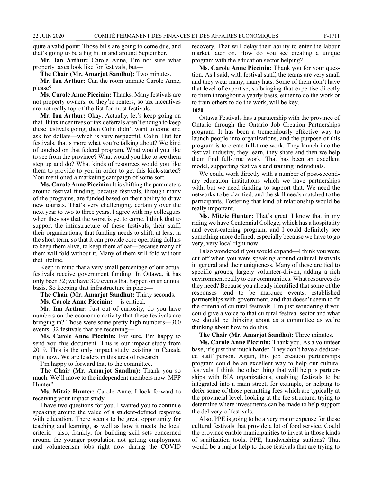quite a valid point: Those bills are going to come due, and that's going to be a big hit in and around September.

**Mr. Ian Arthur:** Carole Anne, I'm not sure what property taxes look like for festivals, but—

**The Chair (Mr. Amarjot Sandhu):** Two minutes.

**Mr. Ian Arthur:** Can the room unmute Carole Anne, please?

**Ms. Carole Anne Piccinin:** Thanks. Many festivals are not property owners, or they're renters, so tax incentives are not really top-of-the-list for most festivals.

**Mr. Ian Arthur:** Okay. Actually, let's keep going on that. If tax incentives or tax deferrals aren't enough to keep these festivals going, then Colin didn't want to come and ask for dollars—which is very respectful, Colin. But for festivals, that's more what you're talking about? We kind of touched on that federal program. What would you like to see from the province? What would you like to see them step up and do? What kinds of resources would you like them to provide to you in order to get this kick-started? You mentioned a marketing campaign of some sort.

**Ms. Carole Anne Piccinin:** It is shifting the parameters around festival funding, because festivals, through many of the programs, are funded based on their ability to draw new tourists. That's very challenging, certainly over the next year to two to three years. I agree with my colleagues when they say that the worst is yet to come. I think that to support the infrastructure of these festivals, their staff, their organizations, that funding needs to shift, at least in the short term, so that it can provide core operating dollars to keep them alive, to keep them afloat—because many of them will fold without it. Many of them will fold without that lifeline.

Keep in mind that a very small percentage of our actual festivals receive government funding. In Ottawa, it has only been 32; we have 300 events that happen on an annual basis. So keeping that infrastructure in place—

**The Chair (Mr. Amarjot Sandhu):** Thirty seconds.

**Ms. Carole Anne Piccinin:** —is critical.

**Mr. Ian Arthur:** Just out of curiosity, do you have numbers on the economic activity that these festivals are bringing in? Those were some pretty high numbers—300 events, 32 festivals that are receiving—

**Ms. Carole Anne Piccinin:** For sure. I'm happy to send you this document. This is our impact study from 2019. This is the only impact study existing in Canada right now. We are leaders in this area of research.

I'm happy to forward that to the committee.

**The Chair (Mr. Amarjot Sandhu):** Thank you so much. We'll move to the independent members now. MPP Hunter?

**Ms. Mitzie Hunter:** Carole Anne, I look forward to receiving your impact study.

I have two questions for you. I wanted you to continue speaking around the value of a student-defined response with education. There seems to be great opportunity for teaching and learning, as well as how it meets the local criteria—also, frankly, for building skill sets concerned around the younger population not getting employment and volunteerism jobs right now during the COVID recovery. That will delay their ability to enter the labour market later on. How do you see creating a unique program with the education sector helping?

**Ms. Carole Anne Piccinin:** Thank you for your question. As I said, with festival staff, the teams are very small and they wear many, many hats. Some of them don't have that level of expertise, so bringing that expertise directly to them throughout a yearly basis, either to do the work or to train others to do the work, will be key.

#### **1050**

Ottawa Festivals has a partnership with the province of Ontario through the Ontario Job Creation Partnerships program. It has been a tremendously effective way to launch people into organizations, and the purpose of this program is to create full-time work. They launch into the festival industry, they learn, they share and then we help them find full-time work. That has been an excellent model, supporting festivals and training individuals.

We could work directly with a number of post-secondary education institutions which we have partnerships with, but we need funding to support that. We need the networks to be clarified, and the skill needs matched to the participants. Fostering that kind of relationship would be really important.

**Ms. Mitzie Hunter:** That's great. I know that in my riding we have Centennial College, which has a hospitality and event-catering program, and I could definitely see something more defined, especially because we have to go very, very local right now.

I also wondered if you would expand—I think you were cut off when you were speaking around cultural festivals in general and their uniqueness. Many of these are tied to specific groups, largely volunteer-driven, adding a rich environment really to our communities. What resources do they need? Because you already identified that some of the responses tend to be marquee events, established partnerships with government, and that doesn't seem to fit the criteria of cultural festivals. I'm just wondering if you could give a voice to that cultural festival sector and what we should be thinking about as a committee as we're thinking about how to do this.

**The Chair (Mr. Amarjot Sandhu):** Three minutes.

**Ms. Carole Anne Piccinin:** Thank you. As a volunteer base, it's just that much harder. They don't have a dedicated staff person. Again, this job creation partnerships program could be an excellent way to help our cultural festivals. I think the other thing that will help is partnerships with BIA organizations, enabling festivals to be integrated into a main street, for example, or helping to defer some of those permitting fees which are typically at the provincial level, looking at the fee structure, trying to determine where investments can be made to help support the delivery of festivals.

Also, PPE is going to be a very major expense for these cultural festivals that provide a lot of food service. Could the province enable municipalities to invest in those kinds of sanitization tools, PPE, handwashing stations? That would be a major help to those festivals that are trying to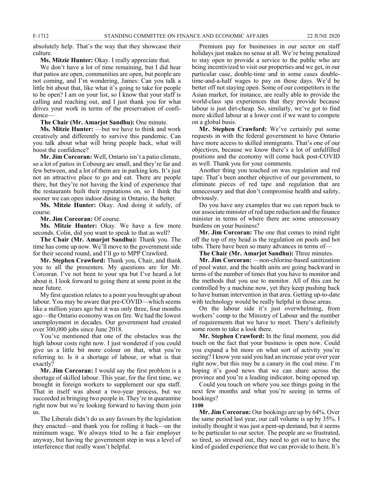absolutely help. That's the way that they showcase their culture.

#### **Ms. Mitzie Hunter:** Okay. I really appreciate that.

We don't have a lot of time remaining, but I did hear that patios are open, communities are open, but people are not coming, and I'm wondering, James: Can you talk a little bit about that, like what it's going to take for people to be open? I am on your list, so I know that your staff is calling and reaching out, and I just thank you for what drives your work in terms of the preservation of confidence—

#### **The Chair (Mr. Amarjot Sandhu):** One minute.

**Ms. Mitzie Hunter:** —but we have to think and work creatively and differently to survive this pandemic. Can you talk about what will bring people back, what will boost the confidence?

**Mr. Jim Corcoran:** Well, Ontario isn't a patio climate, so a lot of patios in Cobourg are small, and they're far and few between, and a lot of them are in parking lots. It's just not an attractive place to go and eat. There are people there, but they're not having the kind of experience that the restaurants built their reputations on, so I think the sooner we can open indoor dining in Ontario, the better.

**Ms. Mitzie Hunter:** Okay. And doing it safely, of course.

**Mr. Jim Corcoran:** Of course.

**Ms. Mitzie Hunter:** Okay. We have a few more seconds. Colin, did you want to speak to that as well?

**The Chair (Mr. Amarjot Sandhu):** Thank you. The time has come up now. We'll move to the government side for their second round, and I'll go to MPP Crawford.

**Mr. Stephen Crawford:** Thank you, Chair, and thank you to all the presenters. My questions are for Mr. Corcoran. I've not been to your spa but I've heard a lot about it. I look forward to going there at some point in the near future.

My first question relates to a point you brought up about labour. You may be aware that pre-COVID—which seems like a million years ago but it was only three, four months ago—the Ontario economy was on fire. We had the lowest unemployment in decades. Our government had created over 300,000 jobs since June 2018.

You've mentioned that one of the obstacles was the high labour costs right now. I just wondered if you could give us a little bit more colour on that, what you're referring to. Is it a shortage of labour, or what is that exactly?

**Mr. Jim Corcoran:** I would say the first problem is a shortage of skilled labour. This year, for the first time, we brought in foreign workers to supplement our spa staff. That in itself was about a two-year process, but we succeeded in bringing two people in. They're in quarantine right now but we're looking forward to having them join us.

The Liberals didn't do us any favours by the legislation they enacted—and thank you for rolling it back—on the minimum wage. We always tried to be a fair employer anyway, but having the government step in was a level of interference that really wasn't helpful.

Premium pay for businesses in our sector on staff holidays just makes no sense at all. We're being penalized to stay open to provide a service to the public who are being incentivized to visit our properties and we get, in our particular case, double-time and in some cases doubletime-and-a-half wages to pay on those days. We'd be better off not staying open. Some of our competitors in the Asian market, for instance, are really able to provide the world-class spa experiences that they provide because labour is just dirt-cheap. So, similarly, we've got to find more skilled labour at a lower cost if we want to compete on a global basis.

**Mr. Stephen Crawford:** We've certainly put some requests in with the federal government to have Ontario have more access to skilled immigrants. That's one of our objectives, because we know there's a lot of unfulfilled positions and the economy will come back post-COVID as well. Thank you for your comments.

Another thing you touched on was regulation and red tape. That's been another objective of our government, to eliminate pieces of red tape and regulation that are unnecessary and that don't compromise health and safety, obviously.

Do you have any examples that we can report back to our associate minister of red tape reduction and the finance minister in terms of where there are some unnecessary burdens on your business?

**Mr. Jim Corcoran:** The one that comes to mind right off the top of my head is the regulation on pools and hot tubs. There have been so many advances in terms of—

**The Chair (Mr. Amarjot Sandhu):** Three minutes.

**Mr. Jim Corcoran:** —non-chlorine-based sanitization of pool water, and the health units are going backward in terms of the number of times that you have to monitor and the methods that you use to monitor. All of this can be controlled by a machine now, yet they keep pushing back to have human intervention in that area. Getting up-to-date with technology would be really helpful in those areas.

On the labour side it's just overwhelming, from workers' comp to the Ministry of Labour and the number of requirements that we have to meet. There's definitely some room to take a look there.

**Mr. Stephen Crawford:** In the final moment, you did touch on the fact that your business is open now. Could you expand a bit more on what sort of activity you're seeing? I know you said you had an increase year over year right now, but this may be a canary in the coal mine. I'm hoping it's good news that we can share across the province and you're a leading indicator, being opened up.

Could you touch on where you see things going in the next few months and what you're seeing in terms of bookings? **1100**

**Mr. Jim Corcoran:** Our bookings are up by 64%. Over the same period last year, our call volume is up by 35%. I initially thought it was just a pent-up demand, but it seems to be particular to our sector. The people are so frustrated, so tired, so stressed out, they need to get out to have the kind of guided experience that we can provide to them. It's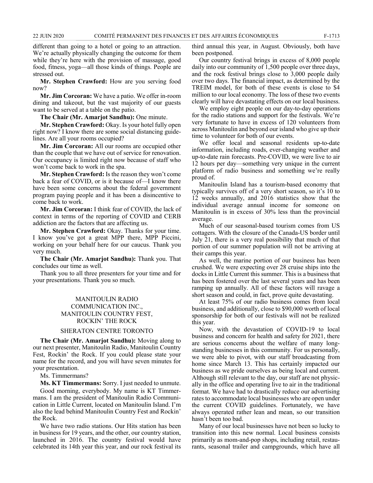different than going to a hotel or going to an attraction. We're actually physically changing the outcome for them while they're here with the provision of massage, good food, fitness, yoga—all those kinds of things. People are stressed out.

**Mr. Stephen Crawford:** How are you serving food now?

**Mr. Jim Corcoran:** We have a patio. We offer in-room dining and takeout, but the vast majority of our guests want to be served at a table on the patio.

**The Chair (Mr. Amarjot Sandhu):** One minute.

**Mr. Stephen Crawford:** Okay. Is your hotel fully open right now? I know there are some social distancing guidelines. Are all your rooms occupied?

**Mr. Jim Corcoran:** All our rooms are occupied other than the couple that we have out of service for renovation. Our occupancy is limited right now because of staff who won't come back to work in the spa.

**Mr. Stephen Crawford:** Is the reason they won't come back a fear of COVID, or is it because of—I know there have been some concerns about the federal government program paying people and it has been a disincentive to come back to work.

**Mr. Jim Corcoran:** I think fear of COVID, the lack of context in terms of the reporting of COVID and CERB addiction are the factors that are affecting us.

**Mr. Stephen Crawford:** Okay. Thanks for your time. I know you've got a great MPP there, MPP Piccini, working on your behalf here for our caucus. Thank you very much.

**The Chair (Mr. Amarjot Sandhu):** Thank you. That concludes our time as well.

Thank you to all three presenters for your time and for your presentations. Thank you so much.

### MANITOULIN RADIO COMMUNICATION INC., MANITOULIN COUNTRY FEST, ROCKIN' THE ROCK

#### SHERATON CENTRE TORONTO

**The Chair (Mr. Amarjot Sandhu):** Moving along to our next presenter, Manitoulin Radio, Manitoulin Country Fest, Rockin' the Rock. If you could please state your name for the record, and you will have seven minutes for your presentation.

Ms. Timmermans?

**Ms. KT Timmermans:** Sorry. I just needed to unmute. Good morning, everybody. My name is KT Timmermans. I am the president of Manitoulin Radio Communication in Little Current, located on Manitoulin Island. I'm also the lead behind Manitoulin Country Fest and Rockin' the Rock.

We have two radio stations. Our Hits station has been in business for 19 years, and the other, our country station, launched in 2016. The country festival would have celebrated its 14th year this year, and our rock festival its third annual this year, in August. Obviously, both have been postponed.

Our country festival brings in excess of 8,000 people daily into our community of 1,500 people over three days, and the rock festival brings close to 3,000 people daily over two days. The financial impact, as determined by the TREIM model, for both of these events is close to \$4 million to our local economy. The loss of these two events clearly will have devastating effects on our local business.

We employ eight people on our day-to-day operations for the radio stations and support for the festivals. We're very fortunate to have in excess of 120 volunteers from across Manitoulin and beyond our island who give up their time to volunteer for both of our events.

We offer local and seasonal residents up-to-date information, including roads, ever-changing weather and up-to-date rain forecasts. Pre-COVID, we were live to air 12 hours per day—something very unique in the current platform of radio business and something we're really proud of.

Manitoulin Island has a tourism-based economy that typically survives off of a very short season, so it's 10 to 12 weeks annually, and 2016 statistics show that the individual average annual income for someone on Manitoulin is in excess of 30% less than the provincial average.

Much of our seasonal-based tourism comes from US cottagers. With the closure of the Canada-US border until July 21, there is a very real possibility that much of that portion of our summer population will not be arriving at their camps this year.

As well, the marine portion of our business has been crushed. We were expecting over 28 cruise ships into the docks in Little Current this summer. This is a business that has been fostered over the last several years and has been ramping up annually. All of these factors will ravage a short season and could, in fact, prove quite devastating.

At least 75% of our radio business comes from local business, and additionally, close to \$90,000 worth of local sponsorship for both of our festivals will not be realized this year.

Now, with the devastation of COVID-19 to local business and concern for health and safety for 2021, there are serious concerns about the welfare of many longstanding businesses in this community. For us personally, we were able to pivot, with our staff broadcasting from home since March 13. This has certainly impacted our business as we pride ourselves as being local and current. Although still relevant to the day, our staff are not physically in the office and operating live to air in the traditional format. We have had to drastically reduce our advertising rates to accommodate local businesses who are open under the current COVID guidelines. Fortunately, we have always operated rather lean and mean, so our transition hasn't been too bad.

Many of our local businesses have not been so lucky to transition into this new normal. Local business consists primarily as mom-and-pop shops, including retail, restaurants, seasonal trailer and campgrounds, which have all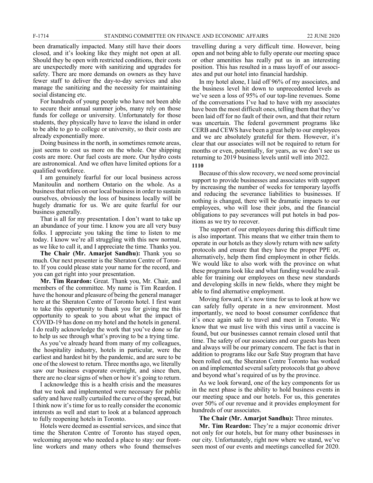been dramatically impacted. Many still have their doors closed, and it's looking like they might not open at all. Should they be open with restricted conditions, their costs are unexpectedly more with sanitizing and upgrades for safety. There are more demands on owners as they have fewer staff to deliver the day-to-day services and also manage the sanitizing and the necessity for maintaining social distancing etc.

For hundreds of young people who have not been able to secure their annual summer jobs, many rely on those funds for college or university. Unfortunately for those students, they physically have to leave the island in order to be able to go to college or university, so their costs are already exponentially more.

Doing business in the north, in sometimes remote areas, just seems to cost us more on the whole. Our shipping costs are more. Our fuel costs are more. Our hydro costs are astronomical. And we often have limited options for a qualified workforce.

I am genuinely fearful for our local business across Manitoulin and northern Ontario on the whole. As a business that relies on our local business in order to sustain ourselves, obviously the loss of business locally will be hugely dramatic for us. We are quite fearful for our business generally.

That is all for my presentation. I don't want to take up an abundance of your time. I know you are all very busy folks. I appreciate you taking the time to listen to me today. I know we're all struggling with this new normal, as we like to call it, and I appreciate the time. Thanks you.

**The Chair (Mr. Amarjot Sandhu):** Thank you so much. Our next presenter is the Sheraton Centre of Toronto. If you could please state your name for the record, and you can get right into your presentation.

**Mr. Tim Reardon:** Great. Thank you, Mr. Chair, and members of the committee. My name is Tim Reardon. I have the honour and pleasure of being the general manager here at the Sheraton Centre of Toronto hotel. I first want to take this opportunity to thank you for giving me this opportunity to speak to you about what the impact of COVID-19 has done on my hotel and the hotels in general. I do really acknowledge the work that you've done so far to help us see through what's proving to be a trying time.

As you've already heard from many of my colleagues, the hospitality industry, hotels in particular, were the earliest and hardest hit by the pandemic, and are sure to be one of the slowest to return. Three months ago, we literally saw our business evaporate overnight, and since then, there are no clear signs of when or how it's going to return.

I acknowledge this is a health crisis and the measures that we took and implemented were necessary for public safety and have really curtailed the curve of the spread, but I think now it's time for us to really consider the economic interests as well and start to look at a balanced approach to fully reopening hotels in Toronto.

Hotels were deemed as essential services, and since that time the Sheraton Centre of Toronto has stayed open, welcoming anyone who needed a place to stay: our frontline workers and many others who found themselves

travelling during a very difficult time. However, being open and not being able to fully operate our meeting space or other amenities has really put us in an interesting position. This has resulted in a mass layoff of our associates and put our hotel into financial hardship.

In my hotel alone, I laid off 96% of my associates, and the business level hit down to unprecedented levels as we've seen a loss of 95% of our top-line revenues. Some of the conversations I've had to have with my associates have been the most difficult ones, telling them that they've been laid off for no fault of their own, and that their return was uncertain. The federal government programs like CERB and CEWS have been a great help to our employees and we are absolutely grateful for them. However, it's clear that our associates will not be required to return for months or even, potentially, for years, as we don't see us returning to 2019 business levels until well into 2022.

**1110**

Because of this slow recovery, we need some provincial support to provide businesses and associates with support by increasing the number of weeks for temporary layoffs and reducing the severance liabilities to businesses. If nothing is changed, there will be dramatic impacts to our employees, who will lose their jobs, and the financial obligations to pay severances will put hotels in bad positions as we try to recover.

The support of our employees during this difficult time is also important. This means that we either train them to operate in our hotels as they slowly return with new safety protocols and ensure that they have the proper PPE or, alternatively, help them find employment in other fields. We would like to also work with the province on what these programs look like and what funding would be available for training our employees on these new standards and developing skills in new fields, where they might be able to find alternative employment.

Moving forward, it's now time for us to look at how we can safely fully operate in a new environment. Most importantly, we need to boost consumer confidence that it's once again safe to travel and meet in Toronto. We know that we must live with this virus until a vaccine is found, but our businesses cannot remain closed until that time. The safety of our associates and our guests has been and always will be our primary concern. The fact is that in addition to programs like our Safe Stay program that have been rolled out, the Sheraton Centre Toronto has worked on and implemented several safety protocols that go above and beyond what's required of us by the province.

As we look forward, one of the key components for us in the next phase is the ability to hold business events in our meeting space and our hotels. For us, this generates over 50% of our revenue and it provides employment for hundreds of our associates.

**The Chair (Mr. Amarjot Sandhu):** Three minutes.

**Mr. Tim Reardon:** They're a major economic driver not only for our hotels, but for many other businesses in our city. Unfortunately, right now where we stand, we've seen most of our events and meetings cancelled for 2020.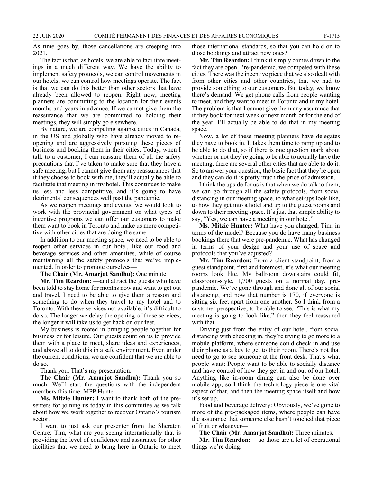As time goes by, those cancellations are creeping into 2021.

The fact is that, as hotels, we are able to facilitate meetings in a much different way. We have the ability to implement safety protocols, we can control movements in our hotels; we can control how meetings operate. The fact is that we can do this better than other sectors that have already been allowed to reopen. Right now, meeting planners are committing to the location for their events months and years in advance. If we cannot give them the reassurance that we are committed to holding their meetings, they will simply go elsewhere.

By nature, we are competing against cities in Canada, in the US and globally who have already moved to reopening and are aggressively pursuing these pieces of business and booking them in their cities. Today, when I talk to a customer, I can reassure them of all the safety precautions that I've taken to make sure that they have a safe meeting, but I cannot give them any reassurances that if they choose to book with me, they'll actually be able to facilitate that meeting in my hotel. This continues to make us less and less competitive, and it's going to have detrimental consequences well past the pandemic.

As we reopen meetings and events, we would look to work with the provincial government on what types of incentive programs we can offer our customers to make them want to book in Toronto and make us more competitive with other cities that are doing the same.

In addition to our meeting space, we need to be able to reopen other services in our hotel, like our food and beverage services and other amenities, while of course maintaining all the safety protocols that we've implemented. In order to promote ourselves—

**The Chair (Mr. Amarjot Sandhu):** One minute.

**Mr. Tim Reardon:** —and attract the guests who have been told to stay home for months now and want to get out and travel, I need to be able to give them a reason and something to do when they travel to my hotel and to Toronto. With these services not available, it's difficult to do so. The longer we delay the opening of those services, the longer it will take us to get back on our feet.

My business is rooted in bringing people together for business or for leisure. Our guests count on us to provide them with a place to meet, share ideas and experiences, and above all to do this in a safe environment. Even under the current conditions, we are confident that we are able to do so.

Thank you. That's my presentation.

**The Chair (Mr. Amarjot Sandhu):** Thank you so much. We'll start the questions with the independent members this time. MPP Hunter.

**Ms. Mitzie Hunter:** I want to thank both of the presenters for joining us today in this committee as we talk about how we work together to recover Ontario's tourism sector.

I want to just ask our presenter from the Sheraton Centre: Tim, what are you seeing internationally that is providing the level of confidence and assurance for other facilities that we need to bring here in Ontario to meet

those international standards, so that you can hold on to those bookings and attract new ones?

**Mr. Tim Reardon:** I think it simply comes down to the fact they are open. Pre-pandemic, we competed with these cities. There was the incentive piece that we also dealt with from other cities and other countries, that we had to provide something to our customers. But today, we know there's demand. We get phone calls from people wanting to meet, and they want to meet in Toronto and in my hotel. The problem is that I cannot give them any assurance that if they book for next week or next month or for the end of the year, I'll actually be able to do that in my meeting space.

Now, a lot of these meeting planners have delegates they have to book in. It takes them time to ramp up and to be able to do that, so if there is one question mark about whether or not they're going to be able to actually have the meeting, there are several other cities that are able to do it. So to answer your question, the basic fact that they're open and they can do it is pretty much the price of admission.

I think the upside for us is that when we do talk to them, we can go through all the safety protocols, from social distancing in our meeting space, to what set-ups look like, to how they get into a hotel and up to the guest rooms and down to their meeting space. It's just that simple ability to say, "Yes, we can have a meeting in our hotel."

**Ms. Mitzie Hunter:** What have you changed, Tim, in terms of the model? Because you do have many business bookings there that were pre-pandemic. What has changed in terms of your design and your use of space and protocols that you've adjusted?

**Mr. Tim Reardon:** From a client standpoint, from a guest standpoint, first and foremost, it's what our meeting rooms look like. My ballroom downstairs could fit, classroom-style, 1,700 guests on a normal day, prepandemic. We've gone through and done all of our social distancing, and now that number is 170, if everyone is sitting six feet apart from one another. So I think from a customer perspective, to be able to see, "This is what my meeting is going to look like," then they feel reassured with that.

Driving just from the entry of our hotel, from social distancing with checking in, they're trying to go more to a mobile platform, where someone could check in and use their phone as a key to get to their room. There's not that need to go to see someone at the front desk. That's what people want: People want to be able to socially distance and have control of how they get in and out of our hotel. Anything like in-room dining can also be done over mobile app, so I think the technology piece is one vital aspect of that, and then the meeting space itself and how it's set up.

Food and beverage delivery: Obviously, we've gone to more of the pre-packaged items, where people can have the assurance that someone else hasn't touched that piece of fruit or whatever—

**The Chair (Mr. Amarjot Sandhu):** Three minutes.

**Mr. Tim Reardon:** —so those are a lot of operational things we're doing.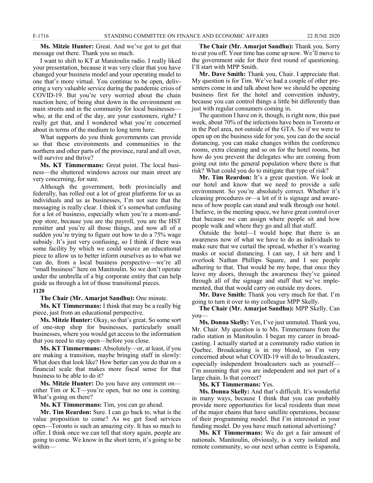**Ms. Mitzie Hunter:** Great. And we've got to get that message out there. Thank you so much.

I want to shift to KT at Manitoulin radio. I really liked your presentation, because it was very clear that you have changed your business model and your operating model to one that's more virtual. You continue to be open, delivering a very valuable service during the pandemic crisis of COVID-19. But you're very worried about the chain reaction here, of being shut down in the environment on main streets and in the community for local businesses who, at the end of the day, are your customers, right? I really get that, and I wondered what you're concerned about in terms of the medium to long term here.

What supports do you think governments can provide so that these environments and communities in the northern and other parts of the province, rural and all over, will survive and thrive?

**Ms. KT Timmermans:** Great point. The local business—the shuttered windows across our main street are very concerning, for sure.

Although the government, both provincially and federally, has rolled out a lot of great platforms for us as individuals and us as businesses, I'm not sure that the messaging is really clear. I think it's somewhat confusing for a lot of business, especially when you're a mom-andpop store, because you are the payroll, you are the HST remitter and you're all those things, and now all of a sudden you're trying to figure out how to do a 75% wage subsidy. It's just very confusing, so I think if there was some facility by which we could source an educational piece to allow us to better inform ourselves as to what we can do, from a local business perspective—we're all "small business" here on Manitoulin. So we don't operate under the umbrella of a big corporate entity that can help guide us through a lot of those transitional pieces.

### **1120**

**The Chair (Mr. Amarjot Sandhu):** One minute.

**Ms. KT Timmermans:** I think that may be a really big piece, just from an educational perspective.

**Ms. Mitzie Hunter:** Okay, so that's great. So some sort of one-stop shop for businesses, particularly small businesses, where you would get access to the information that you need to stay open—before you close.

**Ms. KT Timmermans:** Absolutely—or, at least, if you are making a transition, maybe bringing staff in slowly: What does that look like? How better can you do that on a financial scale that makes more fiscal sense for that business to be able to do it?

**Ms. Mitzie Hunter:** Do you have any comment on either Tim or K.T—you're open, but no one is coming. What's going on there?

**Ms. KT Timmermans:** Tim, you can go ahead.

**Mr. Tim Reardon:** Sure. I can go back to, what is the value proposition to come? As we get food services open—Toronto is such an amazing city. It has so much to offer. I think once we can tell that story again, people are going to come. We know in the short term, it's going to be within—

**The Chair (Mr. Amarjot Sandhu):** Thank you. Sorry to cut you off. Your time has come up now. We'll move to the government side for their first round of questioning. I'll start with MPP Smith.

**Mr. Dave Smith:** Thank you, Chair. I appreciate that. My question is for Tim. We've had a couple of other presenters come in and talk about how we should be opening business first for the hotel and convention industry, because you can control things a little bit differently than just with regular consumers coming in.

The question I have on it, though, is right now, this past week, about 70% of the infections have been in Toronto or in the Peel area, not outside of the GTA. So if we were to open up on the business side for you, you can do the social distancing, you can make changes within the conference rooms, extra cleaning and so on for the hotel rooms, but how do you prevent the delegates who are coming from going out into the general population where there is that risk? What could you do to mitigate that type of risk?

**Mr. Tim Reardon:** It's a great question. We look at our hotel and know that we need to provide a safe environment. So you're absolutely correct. Whether it's cleaning procedures or—a lot of it is signage and awareness of how people can stand and walk through our hotel. I believe, in the meeting space, we have great control over that because we can assign where people sit and how people walk and where they go and all that stuff.

Outside the hotel—I would hope that there is an awareness now of what we have to do as individuals to make sure that we curtail the spread, whether it's wearing masks or social distancing. I can say, I sit here and I overlook Nathan Phillips Square, and I see people adhering to that. That would be my hope, that once they leave my doors, through the awareness they've gained through all of the signage and stuff that we've implemented, that that would carry on outside my doors.

**Mr. Dave Smith:** Thank you very much for that. I'm going to turn it over to my colleague MPP Skelly.

**The Chair (Mr. Amarjot Sandhu):** MPP Skelly. Can you—

**Ms. Donna Skelly:** Yes, I've just unmuted. Thank you, Mr. Chair. My question is to Ms. Timmermans from the radio station in Manitoulin. I began my career in broadcasting. I actually started at a community radio station in Quebec. Broadcasting is in my blood, so I'm very concerned about what COVID-19 will do to broadcasters, especially independent broadcasters such as yourself— I'm assuming that you are independent and not part of a large chain. Is that correct?

**Ms. KT Timmermans:** Yes.

**Ms. Donna Skelly:** And that's difficult. It's wonderful in many ways, because I think that you can probably provide more opportunities for local residents than most of the major chains that have satellite operations, because of their programming model. But I'm interested in your funding model. Do you have much national advertising?

**Ms. KT Timmermans:** We do get a fair amount of nationals. Manitoulin, obviously, is a very isolated and remote community, so our next urban centre is Espanola,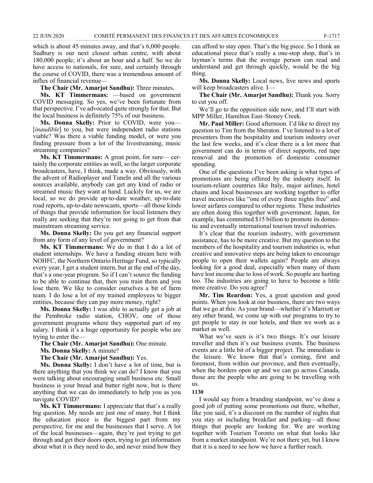which is about 45 minutes away, and that's 6,000 people. Sudbury is our next closest urban centre, with about 180,000 people; it's about an hour and a half. So we do have access to nationals, for sure, and certainly through the course of COVID, there was a tremendous amount of influx of financial revenue—

**The Chair (Mr. Amarjot Sandhu):** Three minutes.

**Ms. KT Timmermans:** —based on government COVID messaging. So yes, we've been fortunate from that perspective. I've advocated quite strongly for that. But the local business is definitely 75% of our business.

**Ms. Donna Skelly:** Prior to COVID, were you— [*inaudible*] to you, but were independent radio stations viable? Was there a viable funding model, or were you finding pressure from a lot of the livestreaming, music streaming companies?

**Ms. KT Timmermans:** A great point, for sure— certainly the corporate entities as well, so the larger corporate broadcasters, have, I think, made a way. Obviously, with the advent of Radioplayer and TuneIn and all the various sources available, anybody can get any kind of radio or streamed music they want at hand. Luckily for us, we are local, so we do provide up-to-date weather, up-to-date road reports, up-to-date newscasts, sports—all those kinds of things that provide information for local listeners they really are seeking that they're not going to get from that mainstream streaming service.

**Ms. Donna Skelly:** Do you get any financial support from any form of any level of government?

**Ms. KT Timmermans:** We do in that I do a lot of student internships. We have a funding stream here with NOHFC, the Northern Ontario Heritage Fund, so typically every year, I get a student intern, but at the end of the day, that's a one-year program. So if I can't source the funding to be able to continue that, then you train them and you lose them. We like to consider ourselves a bit of farm team. I do lose a lot of my trained employees to bigger entities, because they can pay more money, right?

**Ms. Donna Skelly:** I was able to actually get a job at the Pembroke radio station, CHOV, one of those government programs where they supported part of my salary. I think it's a huge opportunity for people who are trying to enter the—

**The Chair (Mr. Amarjot Sandhu):** One minute.

**Ms. Donna Skelly:** A minute?

**The Chair (Mr. Amarjot Sandhu):** Yes.

**Ms. Donna Skelly:** I don't have a lot of time, but is there anything that you think we can do? I know that you were talking about encouraging small business etc. Small business is your bread and butter right now, but is there anything that we can do immediately to help you as you navigate COVID?

**Ms. KT Timmermans:** I appreciate that that's a really big question. My needs are just one of many, but I think the education piece is the biggest part from my perspective, for me and the businesses that I serve. A lot of the local businesses—again, they're just trying to get through and get their doors open, trying to get information about what it is they need to do, and never mind how they

can afford to stay open. That's the big piece. So I think an educational piece that's really a one-stop shop, that's in layman's terms that the average person can read and understand and get through quickly, would be the big thing.

**Ms. Donna Skelly:** Local news, live news and sports will keep broadcasters alive. I—

**The Chair (Mr. Amarjot Sandhu):** Thank you. Sorry to cut you off.

We'll go to the opposition side now, and I'll start with MPP Miller, Hamilton East–Stoney Creek.

**Mr. Paul Miller:** Good afternoon. I'd like to direct my question to Tim from the Sheraton. I've listened to a lot of presenters from the hospitality and tourism industry over the last few weeks, and it's clear there is a lot more that government can do in terms of direct supports, red tape removal and the promotion of domestic consumer spending.

One of the questions I've been asking is what types of promotions are being offered by the industry itself. In tourism-reliant countries like Italy, major airlines, hotel chains and local businesses are working together to offer travel incentives like "one of every three nights free" and lower airfares compared to other regions. These industries are often doing this together with government. Japan, for example, has committed \$15 billion to promote its domestic and eventually international tourism travel industries.

It's clear that the tourism industry, with government assistance, has to be more creative. But my question to the members of the hospitality and tourism industries is, what creative and innovative steps are being taken to encourage people to open their wallets again? People are always looking for a good deal, especially when many of them have lost income due to loss of work. So people are hurting too. The industries are going to have to become a little more creative. Do you agree?

**Mr. Tim Reardon:** Yes, a great question and good points. When you look at our business, there are two ways that we go at this: As your brand—whether it's Marriott or any other brand, we come up with our programs to try to get people to stay in our hotels, and then we work as a market as well.

What we've seen is it's two things. It's our leisure traveller and then it's our business events. The business events are a little bit of a bigger project. The immediate is the leisure. We know that that's coming, first and foremost, from within our province, and then eventually, when the borders open up and we can go across Canada, those are the people who are going to be travelling with us.

#### **1130**

I would say from a branding standpoint, we've done a good job of putting some promotions out there, whether, like you said, it's a discount on the number of nights that you stay or including breakfast and parking—all those things that people are looking for. We are working together with Tourism Toronto on what that looks like from a market standpoint. We're not there yet, but I know that it is a need to see how we have a further reach.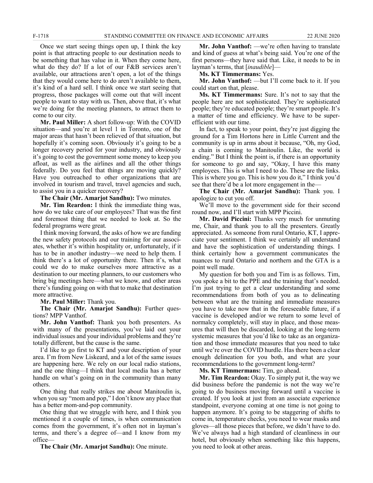Once we start seeing things open up, I think the key point is that attracting people to our destination needs to be something that has value in it. When they come here, what do they do? If a lot of our F&B services aren't available, our attractions aren't open, a lot of the things that they would come here to do aren't available to them, it's kind of a hard sell. I think once we start seeing that progress, those packages will come out that will incent people to want to stay with us. Then, above that, it's what we're doing for the meeting planners, to attract them to come to our city.

**Mr. Paul Miller:** A short follow-up: With the COVID situation—and you're at level 1 in Toronto, one of the major areas that hasn't been relieved of that situation, but hopefully it's coming soon. Obviously it's going to be a longer recovery period for your industry, and obviously it's going to cost the government some money to keep you afloat, as well as the airlines and all the other things federally. Do you feel that things are moving quickly? Have you outreached to other organizations that are involved in tourism and travel, travel agencies and such, to assist you in a quicker recovery?

**The Chair (Mr. Amarjot Sandhu):** Two minutes.

**Mr. Tim Reardon:** I think the immediate thing was, how do we take care of our employees? That was the first and foremost thing that we needed to look at. So the federal programs were great.

I think moving forward, the asks of how we are funding the new safety protocols and our training for our associates, whether it's within hospitality or, unfortunately, if it has to be in another industry—we need to help them. I think there's a lot of opportunity there. Then it's, what could we do to make ourselves more attractive as a destination to our meeting planners, to our customers who bring big meetings here—what we know, and other areas there's funding going on with that to make that destination more attractive.

**Mr. Paul Miller:** Thank you.

**The Chair (Mr. Amarjot Sandhu):** Further questions? MPP Vanthof.

**Mr. John Vanthof:** Thank you both presenters. As with many of the presentations, you've laid out your individual issues and your individual problems and they're totally different, but the cause is the same.

I'd like to go first to KT and your description of your area. I'm from New Liskeard, and a lot of the same issues are happening here. We rely on our local radio stations, and the one thing—I think that local media has a better handle on what's going on in the community than many others.

One thing that really strikes me about Manitoulin is, when you say "mom and pop," I don't know any place that has a better mom-and-pop community.

One thing that we struggle with here, and I think you mentioned it a couple of times, is when communication comes from the government, it's often not in layman's terms, and there's a degree of—and I know from my office—

**The Chair (Mr. Amarjot Sandhu):** One minute.

**Mr. John Vanthof:** —we're often having to translate and kind of guess at what's being said. You're one of the first persons—they have said that. Like, it needs to be in layman's terms, that [*inaudible*]—

**Ms. KT Timmermans:** Yes.

**Mr. John Vanthof:** —but I'll come back to it. If you could start on that, please.

**Ms. KT Timmermans:** Sure. It's not to say that the people here are not sophisticated. They're sophisticated people; they're educated people; they're smart people. It's a matter of time and efficiency. We have to be superefficient with our time.

In fact, to speak to your point, they're just digging the ground for a Tim Hortons here in Little Current and the community is up in arms about it because, "Oh, my God, a chain is coming to Manitoulin. Like, the world is ending." But I think the point is, if there is an opportunity for someone to go and say, "Okay, I have this many employees. This is what I need to do. These are the links. This is where you go. This is how you do it," I think you'd see that there'd be a lot more engagement in the—

**The Chair (Mr. Amarjot Sandhu):** Thank you. I apologize to cut you off.

We'll move to the government side for their second round now, and I'll start with MPP Piccini.

**Mr. David Piccini:** Thanks very much for unmuting me, Chair, and thank you to all the presenters. Greatly appreciated. As someone from rural Ontario, KT, I appreciate your sentiment. I think we certainly all understand and have the sophistication of understanding things. I think certainly how a government communicates the nuances to rural Ontario and northern and the GTA is a point well made.

My question for both you and Tim is as follows. Tim, you spoke a bit to the PPE and the training that's needed. I'm just trying to get a clear understanding and some recommendations from both of you as to delineating between what are the training and immediate measures you have to take now that in the foreseeable future, if a vaccine is developed and/or we return to some level of normalcy completely, will stay in place, and those measures that will then be discarded, looking at the long-term systemic measures that you'd like to take as an organization and those immediate measures that you need to take until we're over the COVID hurdle. Has there been a clear enough delineation for you both, and what are your recommendations to the government long-term?

**Ms. KT Timmermans:** Tim, go ahead.

**Mr. Tim Reardon:** Okay. To simply put it, the way we did business before the pandemic is not the way we're going to do business moving forward until a vaccine is created. If you look at just from an associate experience standpoint, everyone coming at one time is not going to happen anymore. It's going to be staggering of shifts to come in, temperature checks, you need to wear masks and gloves—all those pieces that before, we didn't have to do. We've always had a high standard of cleanliness in our hotel, but obviously when something like this happens, you need to look at other areas.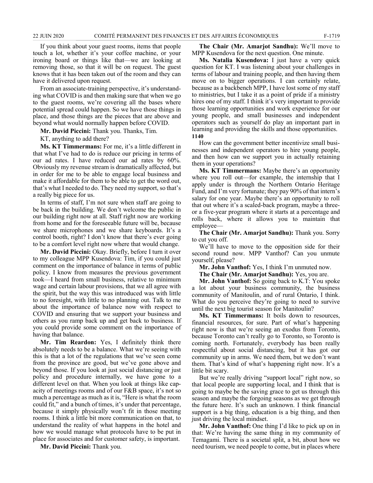If you think about your guest rooms, items that people touch a lot, whether it's your coffee machine, or your ironing board or things like that—we are looking at removing those, so that it will be on request. The guest knows that it has been taken out of the room and they can have it delivered upon request.

From an associate-training perspective, it's understanding what COVID is and then making sure that when we go to the guest rooms, we're covering all the bases where potential spread could happen. So we have those things in place, and those things are the pieces that are above and beyond what would normally happen before COVID.

**Mr. David Piccini:** Thank you. Thanks, Tim.

KT, anything to add there?

**Ms. KT Timmermans:** For me, it's a little different in that what I've had to do is reduce our pricing in terms of our ad rates. I have reduced our ad rates by 60%. Obviously my revenue stream is dramatically affected, but in order for me to be able to engage local business and make it affordable for them to be able to get the word out, that's what I needed to do. They need my support, so that's a really big piece for us.

In terms of staff, I'm not sure when staff are going to be back in the building. We don't welcome the public in our building right now at all. Staff right now are working from home and for the foreseeable future will be, because we share microphones and we share keyboards. It's a control booth, right? I don't know that there's ever going to be a comfort level right now where that would change.

**Mr. David Piccini:** Okay. Briefly, before I turn it over to my colleague MPP Kusendova: Tim, if you could just comment on the importance of balance in terms of public policy. I know from measures the previous government took—I heard from small business, relative to minimum wage and certain labour provisions, that we all agree with the spirit, but the way this was introduced was with little to no foresight, with little to no planning out. Talk to me about the importance of balance now with respect to COVID and ensuring that we support your business and others as you ramp back up and get back to business. If you could provide some comment on the importance of having that balance.

**Mr. Tim Reardon:** Yes, I definitely think there absolutely needs to be a balance. What we're seeing with this is that a lot of the regulations that we've seen come from the province are good, but we've gone above and beyond those. If you look at just social distancing or just policy and procedure internally, we have gone to a different level on that. When you look at things like capacity of meetings rooms and of our F&B space, it's not so much a percentage as much as it is, "Here is what the room could fit," and a bunch of times, it's under that percentage, because it simply physically won't fit in those meeting rooms. I think a little bit more communication on that, to understand the reality of what happens in the hotel and how we would manage what protocols have to be put in place for associates and for customer safety, is important.

**Mr. David Piccini:** Thank you.

**The Chair (Mr. Amarjot Sandhu):** We'll move to MPP Kusendova for the next question. One minute.

**Ms. Natalia Kusendova:** I just have a very quick question for KT. I was listening about your challenges in terms of labour and training people, and then having them move on to bigger operations. I can certainly relate, because as a backbench MPP, I have lost some of my staff to ministries, but I take it as a point of pride if a ministry hires one of my staff. I think it's very important to provide those learning opportunities and work experience for our young people, and small businesses and independent operators such as yourself do play an important part in learning and providing the skills and those opportunities. **1140**

How can the government better incentivize small businesses and independent operators to hire young people, and then how can we support you in actually retaining them in your operations?

**Ms. KT Timmermans:** Maybe there's an opportunity where you roll out—for example, the internship that I apply under is through the Northern Ontario Heritage Fund, and I'm very fortunate; they pay 90% of that intern's salary for one year. Maybe there's an opportunity to roll that out where it's a scaled-back program, maybe a threeor a five-year program where it starts at a percentage and rolls back, where it allows you to maintain that employee—

**The Chair (Mr. Amarjot Sandhu):** Thank you. Sorry to cut you off.

We'll have to move to the opposition side for their second round now. MPP Vanthof? Can you unmute yourself, please?

**Mr. John Vanthof:** Yes, I think I'm unmuted now.

**The Chair (Mr. Amarjot Sandhu):** Yes, you are.

**Mr. John Vanthof:** So going back to K.T: You spoke a lot about your business community, the business community of Manitoulin, and of rural Ontario, I think. What do you perceive they're going to need to survive until the next big tourist season for Manitoulin?

**Ms. KT Timmermans:** It boils down to resources, financial resources, for sure. Part of what's happening right now is that we're seeing an exodus from Toronto, because Toronto can't really go to Toronto, so Toronto is coming north. Fortunately, everybody has been really respectful about social distancing, but it has got our community up in arms. We need them, but we don't want them. That's kind of what's happening right now. It's a little bit scary.

But we're really driving "support local" right now, so that local people are supporting local, and I think that is going to maybe be the saving grace to get us through this season and maybe the forgoing seasons as we get through the future here. It's such an unknown. I think financial support is a big thing, education is a big thing, and then just driving the local mindset.

**Mr. John Vanthof:** One thing I'd like to pick up on in that: We're having the same thing in my community of Temagami. There is a societal split, a bit, about how we need tourism, we need people to come, but in places where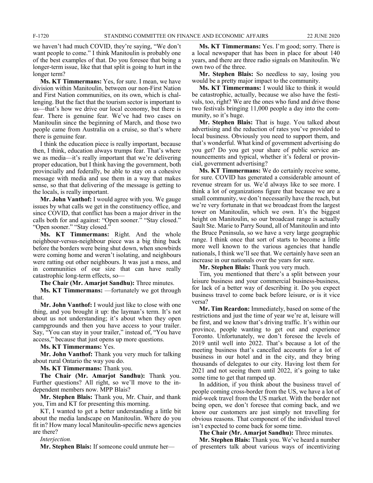we haven't had much COVID, they're saying, "We don't want people to come." I think Manitoulin is probably one of the best examples of that. Do you foresee that being a longer-term issue, like that that split is going to hurt in the longer term?

**Ms. KT Timmermans:** Yes, for sure. I mean, we have division within Manitoulin, between our non-First Nation and First Nation communities, on its own, which is challenging. But the fact that the tourism sector is important to us—that's how we drive our local economy, but there is fear. There is genuine fear. We've had two cases on Manitoulin since the beginning of March, and those two people came from Australia on a cruise, so that's where there is genuine fear.

I think the education piece is really important, because then, I think, education always trumps fear. That's where we as media—it's really important that we're delivering proper education, but I think having the government, both provincially and federally, be able to stay on a cohesive message with media and use them in a way that makes sense, so that that delivering of the message is getting to the locals, is really important.

**Mr. John Vanthof:** I would agree with you. We gauge issues by what calls we get in the constituency office, and since COVID, that conflict has been a major driver in the calls both for and against: "Open sooner." "Stay closed." "Open sooner." "Stay closed."

**Ms. KT Timmermans:** Right. And the whole neighbour-versus-neighbour piece was a big thing back before the borders were being shut down, when snowbirds were coming home and weren't isolating, and neighbours were ratting out other neighbours. It was just a mess, and in communities of our size that can have really catastrophic long-term effects, so—

**The Chair (Mr. Amarjot Sandhu):** Three minutes.

**Ms. KT Timmermans:** —fortunately we got through that.

**Mr. John Vanthof:** I would just like to close with one thing, and you brought it up: the layman's term. It's not about us not understanding; it's about when they open campgrounds and then you have access to your trailer. Say, "You can stay in your trailer," instead of, "You have access," because that just opens up more questions.

#### **Ms. KT Timmermans:** Yes.

**Mr. John Vanthof:** Thank you very much for talking about rural Ontario the way you do.

**Ms. KT Timmermans:** Thank you.

**The Chair (Mr. Amarjot Sandhu):** Thank you. Further questions? All right, so we'll move to the independent members now. MPP Blais?

**Mr. Stephen Blais:** Thank you, Mr. Chair, and thank you, Tim and KT for presenting this morning.

KT, I wanted to get a better understanding a little bit about the media landscape on Manitoulin. Where do you fit in? How many local Manitoulin-specific news agencies are there?

*Interjection.*

**Mr. Stephen Blais:** If someone could unmute her—

**Ms. KT Timmermans:** Yes. I'm good; sorry. There is a local newspaper that has been in place for about 140 years, and there are three radio signals on Manitoulin. We own two of the three.

**Mr. Stephen Blais:** So needless to say, losing you would be a pretty major impact to the community.

**Ms. KT Timmermans:** I would like to think it would be catastrophic, actually, because we also have the festivals, too, right? We are the ones who fund and drive those two festivals bringing 11,000 people a day into the community, so it's huge.

**Mr. Stephen Blais:** That is huge. You talked about advertising and the reduction of rates you've provided to local business. Obviously you need to support them, and that's wonderful. What kind of government advertising do you get? Do you get your share of public service announcements and typical, whether it's federal or provincial, government advertising?

**Ms. KT Timmermans:** We do certainly receive some, for sure. COVID has generated a considerable amount of revenue stream for us. We'd always like to see more. I think a lot of organizations figure that because we are a small community, we don't necessarily have the reach, but we're very fortunate in that we broadcast from the largest tower on Manitoulin, which we own. It's the biggest height on Manitoulin, so our broadcast range is actually Sault Ste. Marie to Parry Sound, all of Manitoulin and into the Bruce Peninsula, so we have a very large geographic range. I think once that sort of starts to become a little more well known to the various agencies that handle nationals, I think we'll see that. We certainly have seen an increase in our nationals over the years for sure.

**Mr. Stephen Blais:** Thank you very much.

Tim, you mentioned that there's a split between your leisure business and your commercial business-business, for lack of a better way of describing it. Do you expect business travel to come back before leisure, or is it vice versa?

**Mr. Tim Reardon:** Immediately, based on some of the restrictions and just the time of year we're at, leisure will be first, and we know that's driving traffic. It's within our province, people wanting to get out and experience Toronto. Unfortunately, we don't foresee the levels of 2019 until well into 2022. That's because a lot of the meeting business that's cancelled accounts for a lot of business in our hotel and in the city, and they bring thousands of delegates to our city. Having lost them for 2021 and not seeing them until 2022, it's going to take some time to get that ramped up.

In addition, if you think about the business travel of people coming cross-border from the US, we have a lot of mid-week travel from the US market. With the border not being open, we don't foresee that coming back, and we know our customers are just simply not travelling for obvious reasons. That component of the individual travel isn't expected to come back for some time.

**The Chair (Mr. Amarjot Sandhu):** Three minutes.

**Mr. Stephen Blais:** Thank you. We've heard a number of presenters talk about various ways of incentivizing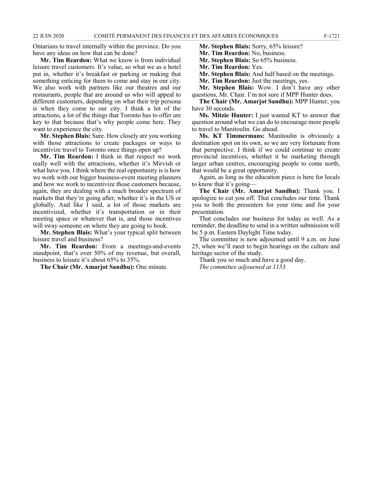Ontarians to travel internally within the province. Do you have any ideas on how that can be done?

**Mr. Tim Reardon:** What we know is from individual leisure travel customers. It's value, so what we as a hotel put in, whether it's breakfast or parking or making that something enticing for them to come and stay in our city. We also work with partners like our theatres and our restaurants, people that are around us who will appeal to different customers, depending on what their trip persona is when they come to our city. I think a lot of the attractions, a lot of the things that Toronto has to offer are key to that because that's why people come here. They want to experience the city.

**Mr. Stephen Blais:** Sure. How closely are you working with those attractions to create packages or ways to incentivize travel to Toronto once things open up?

**Mr. Tim Reardon:** I think in that respect we work really well with the attractions, whether it's Mirvish or what have you. I think where the real opportunity is is how we work with our bigger business-event meeting planners and how we work to incentivize those customers because, again, they are dealing with a much broader spectrum of markets that they're going after, whether it's in the US or globally. And like I said, a lot of those markets are incentivized, whether it's transportation or in their meeting space or whatever that is, and those incentives will sway someone on where they are going to book.

**Mr. Stephen Blais:** What's your typical split between leisure travel and business?

**Mr. Tim Reardon:** From a meetings-and-events standpoint, that's over 50% of my revenue, but overall, business to leisure it's about 65% to 35%.

**The Chair (Mr. Amarjot Sandhu):** One minute.

**Mr. Stephen Blais:** Sorry, 65% leisure?

**Mr. Tim Reardon:** No, business.

**Mr. Stephen Blais:** So 65% business.

**Mr. Tim Reardon:** Yes.

**Mr. Stephen Blais:** And half based on the meetings.

**Mr. Tim Reardon:** Just the meetings, yes.

**Mr. Stephen Blais:** Wow. I don't have any other questions, Mr. Chair. I'm not sure if MPP Hunter does.

**The Chair (Mr. Amarjot Sandhu):** MPP Hunter, you have 30 seconds.

**Ms. Mitzie Hunter:** I just wanted KT to answer that question around what we can do to encourage more people to travel to Manitoulin. Go ahead.

**Ms. KT Timmermans:** Manitoulin is obviously a destination spot on its own, so we are very fortunate from that perspective. I think if we could continue to create provincial incentives, whether it be marketing through larger urban centres, encouraging people to come north, that would be a great opportunity.

Again, as long as the education piece is here for locals to know that it's going—

**The Chair (Mr. Amarjot Sandhu):** Thank you. I apologize to cut you off. That concludes our time. Thank you to both the presenters for your time and for your presentation.

That concludes our business for today as well. As a reminder, the deadline to send in a written submission will be 5 p.m. Eastern Daylight Time today.

The committee is now adjourned until 9 a.m. on June 25, when we'll meet to begin hearings on the culture and heritage sector of the study.

Thank you so much and have a good day. *The committee adjourned at 1153.*